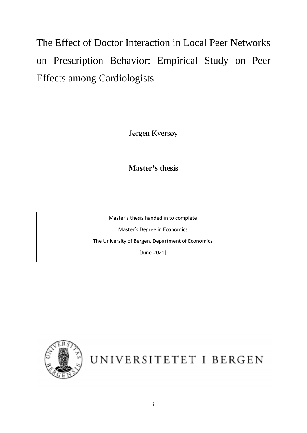The Effect of Doctor Interaction in Local Peer Networks on Prescription Behavior: Empirical Study on Peer Effects among Cardiologists

Jørgen Kversøy

**Master's thesis**

Master's thesis handed in to complete Master's Degree in Economics The University of Bergen, Department of Economics [June 2021]



UNIVERSITETET I BERGEN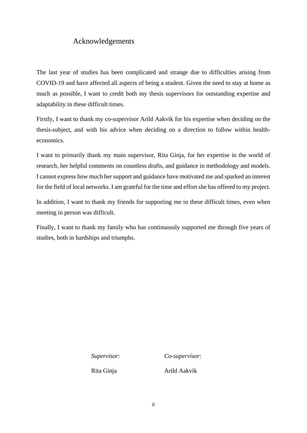## Acknowledgements

The last year of studies has been complicated and strange due to difficulties arising from COVID-19 and have affected all aspects of being a student. Given the need to stay at home as much as possible, I want to credit both my thesis supervisors for outstanding expertise and adaptability in these difficult times.

Firstly, I want to thank my co-supervisor Arild Aakvik for his expertise when deciding on the thesis-subject, and with his advice when deciding on a direction to follow within healtheconomics.

I want to primarily thank my main supervisor, Rita Ginja, for her expertise in the world of research, her helpful comments on countless drafts, and guidance in methodology and models. I cannot express how much her support and guidance have motivated me and sparked an interest for the field of local networks. I am grateful for the time and effort she has offered to my project.

In addition, I want to thank my friends for supporting me in these difficult times, even when meeting in person was difficult.

Finally, I want to thank my family who has continuously supported me through five years of studies, both in hardships and triumphs.

*Supervisor*: *Co-supervisor*:

Rita Ginja Arild Aakvik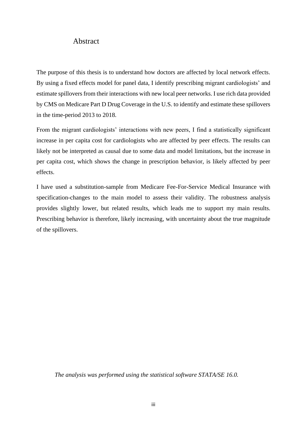### Abstract

The purpose of this thesis is to understand how doctors are affected by local network effects. By using a fixed effects model for panel data, I identify prescribing migrant cardiologists' and estimate spillovers from their interactions with new local peer networks. I use rich data provided by CMS on Medicare Part D Drug Coverage in the U.S. to identify and estimate these spillovers in the time-period 2013 to 2018.

From the migrant cardiologists' interactions with new peers, I find a statistically significant increase in per capita cost for cardiologists who are affected by peer effects. The results can likely not be interpreted as causal due to some data and model limitations, but the increase in per capita cost, which shows the change in prescription behavior, is likely affected by peer effects.

I have used a substitution-sample from Medicare Fee-For-Service Medical Insurance with specification-changes to the main model to assess their validity. The robustness analysis provides slightly lower, but related results, which leads me to support my main results. Prescribing behavior is therefore, likely increasing, with uncertainty about the true magnitude of the spillovers.

*The analysis was performed using the statistical software STATA/SE 16.0.*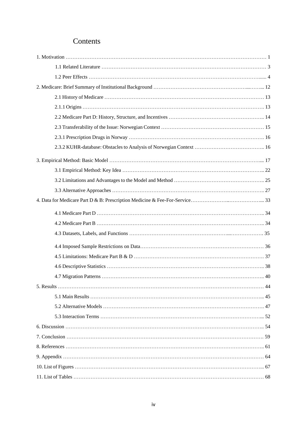# Contents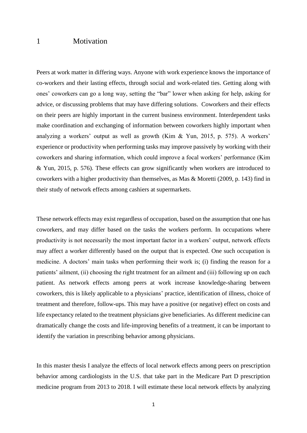### 1 Motivation

Peers at work matter in differing ways. Anyone with work experience knows the importance of co-workers and their lasting effects, through social and work-related ties. Getting along with ones' coworkers can go a long way, setting the "bar" lower when asking for help, asking for advice, or discussing problems that may have differing solutions. Coworkers and their effects on their peers are highly important in the current business environment. Interdependent tasks make coordination and exchanging of information between coworkers highly important when analyzing a workers' output as well as growth (Kim & Yun, 2015, p. 575). A workers' experience or productivity when performing tasks may improve passively by working with their coworkers and sharing information, which could improve a focal workers' performance (Kim & Yun, 2015, p. 576). These effects can grow significantly when workers are introduced to coworkers with a higher productivity than themselves, as Mas & Moretti (2009, p. 143) find in their study of network effects among cashiers at supermarkets.

These network effects may exist regardless of occupation, based on the assumption that one has coworkers, and may differ based on the tasks the workers perform. In occupations where productivity is not necessarily the most important factor in a workers' output, network effects may affect a worker differently based on the output that is expected. One such occupation is medicine. A doctors' main tasks when performing their work is; (i) finding the reason for a patients' ailment, (ii) choosing the right treatment for an ailment and (iii) following up on each patient. As network effects among peers at work increase knowledge-sharing between coworkers, this is likely applicable to a physicians' practice, identification of illness, choice of treatment and therefore, follow-ups. This may have a positive (or negative) effect on costs and life expectancy related to the treatment physicians give beneficiaries. As different medicine can dramatically change the costs and life-improving benefits of a treatment, it can be important to identify the variation in prescribing behavior among physicians.

In this master thesis I analyze the effects of local network effects among peers on prescription behavior among cardiologists in the U.S. that take part in the Medicare Part D prescription medicine program from 2013 to 2018. I will estimate these local network effects by analyzing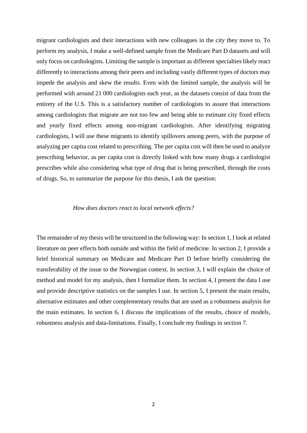migrant cardiologists and their interactions with new colleagues in the city they move to. To perform my analysis, I make a well-defined sample from the Medicare Part D datasets and will only focus on cardiologists. Limiting the sample is important as different specialties likely react differently to interactions among their peers and including vastly different types of doctors may impede the analysis and skew the results. Even with the limited sample, the analysis will be performed with around 21 000 cardiologists each year, as the datasets consist of data from the entirety of the U.S. This is a satisfactory number of cardiologists to assure that interactions among cardiologists that migrate are not too few and being able to estimate city fixed effects and yearly fixed effects among non-migrant cardiologists. After identifying migrating cardiologists, I will use these migrants to identify spillovers among peers, with the purpose of analyzing per capita cost related to prescribing. The per capita cost will then be used to analyze prescribing behavior, as per capita cost is directly linked with how many drugs a cardiologist prescribes while also considering what type of drug that is being prescribed, through the costs of drugs. So, to summarize the purpose for this thesis, I ask the question:

#### *How does doctors react to local network effects?*

The remainder of my thesis will be structured in the following way: In section 1, I look at related literature on peer effects both outside and within the field of medicine. In section 2, I provide a brief historical summary on Medicare and Medicare Part D before briefly considering the transferability of the issue to the Norwegian context. In section 3, I will explain the choice of method and model for my analysis, then I formalize them. In section 4, I present the data I use and provide descriptive statistics on the samples I use. In section 5, I present the main results, alternative estimates and other complementary results that are used as a robustness analysis for the main estimates. In section 6, I discuss the implications of the results, choice of models, robustness analysis and data-limitations. Finally, I conclude my findings in section 7.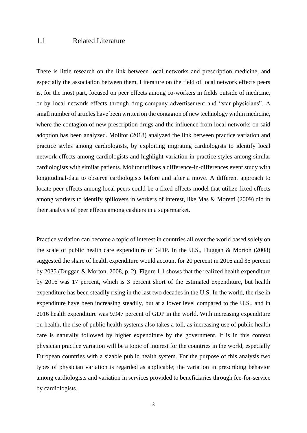### 1.1 Related Literature

There is little research on the link between local networks and prescription medicine, and especially the association between them. Literature on the field of local network effects peers is, for the most part, focused on peer effects among co-workers in fields outside of medicine, or by local network effects through drug-company advertisement and "star-physicians". A small number of articles have been written on the contagion of new technology within medicine, where the contagion of new prescription drugs and the influence from local networks on said adoption has been analyzed. Molitor (2018) analyzed the link between practice variation and practice styles among cardiologists, by exploiting migrating cardiologists to identify local network effects among cardiologists and highlight variation in practice styles among similar cardiologists with similar patients. Molitor utilizes a difference-in-differences event study with longitudinal-data to observe cardiologists before and after a move. A different approach to locate peer effects among local peers could be a fixed effects-model that utilize fixed effects among workers to identify spillovers in workers of interest, like Mas & Moretti (2009) did in their analysis of peer effects among cashiers in a supermarket.

Practice variation can become a topic of interest in countries all over the world based solely on the scale of public health care expenditure of GDP. In the U.S., Duggan & Morton (2008) suggested the share of health expenditure would account for 20 percent in 2016 and 35 percent by 2035 (Duggan & Morton, 2008, p. 2). Figure 1.1 shows that the realized health expenditure by 2016 was 17 percent, which is 3 percent short of the estimated expenditure, but health expenditure has been steadily rising in the last two decades in the U.S. In the world, the rise in expenditure have been increasing steadily, but at a lower level compared to the U.S., and in 2016 health expenditure was 9.947 percent of GDP in the world. With increasing expenditure on health, the rise of public health systems also takes a toll, as increasing use of public health care is naturally followed by higher expenditure by the government. It is in this context physician practice variation will be a topic of interest for the countries in the world, especially European countries with a sizable public health system. For the purpose of this analysis two types of physician variation is regarded as applicable; the variation in prescribing behavior among cardiologists and variation in services provided to beneficiaries through fee-for-service by cardiologists.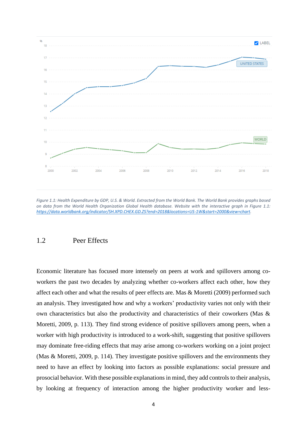

*Figure 1.1: Health Expenditure by GDP, U.S. & World. Extracted from the World Bank. The World Bank provides graphs based on data from the World Health Organization Global Health database. Website with the interactive graph in Figure 1.1: [https://data.worldbank.org/indicator/SH.XPD.CHEX.GD.ZS?end=2018&locations=US-1W&start=2000&view=chart.](https://data.worldbank.org/indicator/SH.XPD.CHEX.GD.ZS?end=2018&locations=US-1W&start=2000&view=chart)*

### 1.2 Peer Effects

Economic literature has focused more intensely on peers at work and spillovers among coworkers the past two decades by analyzing whether co-workers affect each other, how they affect each other and what the results of peer effects are. Mas & Moretti (2009) performed such an analysis. They investigated how and why a workers' productivity varies not only with their own characteristics but also the productivity and characteristics of their coworkers (Mas & Moretti, 2009, p. 113). They find strong evidence of positive spillovers among peers, when a worker with high productivity is introduced to a work-shift, suggesting that positive spillovers may dominate free-riding effects that may arise among co-workers working on a joint project (Mas & Moretti, 2009, p. 114). They investigate positive spillovers and the environments they need to have an effect by looking into factors as possible explanations: social pressure and prosocial behavior. With these possible explanations in mind, they add controls to their analysis, by looking at frequency of interaction among the higher productivity worker and less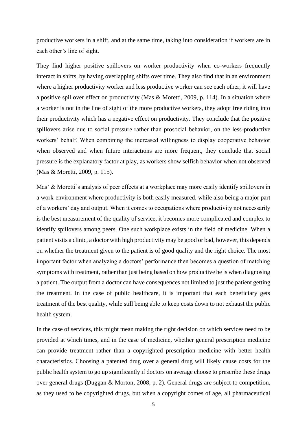productive workers in a shift, and at the same time, taking into consideration if workers are in each other's line of sight.

They find higher positive spillovers on worker productivity when co-workers frequently interact in shifts, by having overlapping shifts over time. They also find that in an environment where a higher productivity worker and less productive worker can see each other, it will have a positive spillover effect on productivity (Mas & Moretti, 2009, p. 114). In a situation where a worker is not in the line of sight of the more productive workers, they adopt free riding into their productivity which has a negative effect on productivity. They conclude that the positive spillovers arise due to social pressure rather than prosocial behavior, on the less-productive workers' behalf. When combining the increased willingness to display cooperative behavior when observed and when future interactions are more frequent, they conclude that social pressure is the explanatory factor at play, as workers show selfish behavior when not observed (Mas & Moretti, 2009, p. 115).

Mas' & Moretti's analysis of peer effects at a workplace may more easily identify spillovers in a work-environment where productivity is both easily measured, while also being a major part of a workers' day and output. When it comes to occupations where productivity not necessarily is the best measurement of the quality of service, it becomes more complicated and complex to identify spillovers among peers. One such workplace exists in the field of medicine. When a patient visits a clinic, a doctor with high productivity may be good or bad, however, this depends on whether the treatment given to the patient is of good quality and the right choice. The most important factor when analyzing a doctors' performance then becomes a question of matching symptoms with treatment, rather than just being based on how productive he is when diagnosing a patient. The output from a doctor can have consequences not limited to just the patient getting the treatment. In the case of public healthcare, it is important that each beneficiary gets treatment of the best quality, while still being able to keep costs down to not exhaust the public health system.

In the case of services, this might mean making the right decision on which services need to be provided at which times, and in the case of medicine, whether general prescription medicine can provide treatment rather than a copyrighted prescription medicine with better health characteristics. Choosing a patented drug over a general drug will likely cause costs for the public health system to go up significantly if doctors on average choose to prescribe these drugs over general drugs (Duggan & Morton, 2008, p. 2). General drugs are subject to competition, as they used to be copyrighted drugs, but when a copyright comes of age, all pharmaceutical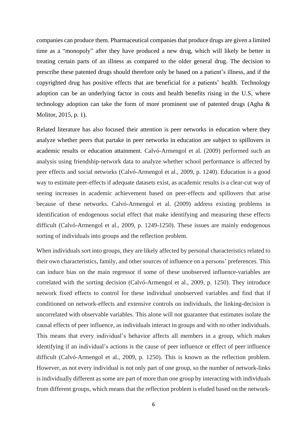companies can produce them. Pharmaceutical companies that produce drugs are given a limited time as a "monopoly" after they have produced a new drug, which will likely be better in treating certain parts of an illness as compared to the older general drug. The decision to prescribe these patented drugs should therefore only be based on a patient's illness, and if the copyrighted drug has positive effects that are beneficial for a patients' health. Technology adoption can be an underlying factor in costs and health benefits rising in the U.S, where technology adoption can take the form of more prominent use of patented drugs (Agha & Molitor, 2015, p. 1).

Related literature has also focused their attention is peer networks in education where they analyze whether peers that partake in peer networks in education are subject to spillovers in academic results or education attainment. Calvó-Armengol et al. (2009) performed such an analysis using friendship-network data to analyze whether school performance is affected by peer effects and social networks (Calvó-Armengol et al., 2009, p. 1240). Education is a good way to estimate peer-effects if adequate datasets exist, as academic results is a clear-cut way of seeing increases in academic achievement based on peer-effects and spillovers that arise because of these networks. Calvó-Armengol et al. (2009) address existing problems in identification of endogenous social effect that make identifying and measuring these effects difficult (Calvó-Armengol et al., 2009, p. 1249-1250). These issues are mainly endogenous sorting of individuals into groups and the reflection problem.

When individuals sort into groups, they are likely affected by personal characteristics related to their own characteristics, family, and other sources of influence on a persons' preferences. This can induce bias on the main regressor if some of these unobserved influence-variables are correlated with the sorting decision (Calvó-Armengol et al., 2009, p. 1250). They introduce network fixed effects to control for these individual unobserved variables and find that if conditioned on network-effects and extensive controls on individuals, the linking-decision is uncorrelated with observable variables. This alone will not guarantee that estimates isolate the causal effects of peer influence, as individuals interact in groups and with no other individuals. This means that every individual's behavior affects all members in a group, which makes identifying if an individual's actions is the cause of peer influence or effect of peer influence difficult (Calvó-Armengol et al., 2009, p. 1250). This is known as the reflection problem. However, as not every individual is not only part of one group, so the number of network-links is individually different as some are part of more than one group by interacting with individuals from different groups, which means that the reflection problem is eluded based on the network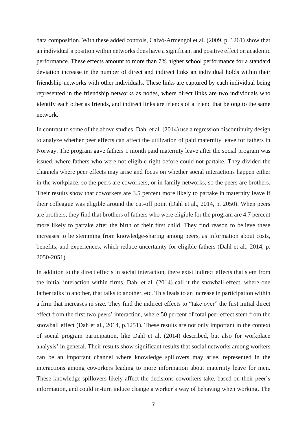data composition. With these added controls, Calvó-Armengol et al. (2009, p. 1261) show that an individual's position within networks does have a significant and positive effect on academic performance. These effects amount to more than 7% higher school performance for a standard deviation increase in the number of direct and indirect links an individual holds within their friendship-networks with other individuals. These links are captured by each individual being represented in the friendship networks as nodes, where direct links are two individuals who identify each other as friends, and indirect links are friends of a friend that belong to the same network.

In contrast to some of the above studies, Dahl et al. (2014) use a regression discontinuity design to analyze whether peer effects can affect the utilization of paid maternity leave for fathers in Norway. The program gave fathers 1 month paid maternity leave after the social program was issued, where fathers who were not eligible right before could not partake. They divided the channels where peer effects may arise and focus on whether social interactions happen either in the workplace, so the peers are coworkers, or in family networks, so the peers are brothers. Their results show that coworkers are 3.5 percent more likely to partake in maternity leave if their colleague was eligible around the cut-off point (Dahl et al., 2014, p. 2050). When peers are brothers, they find that brothers of fathers who were eligible for the program are 4.7 percent more likely to partake after the birth of their first child. They find reason to believe these increases to be stemming from knowledge-sharing among peers, as information about costs, benefits, and experiences, which reduce uncertainty for eligible fathers (Dahl et al., 2014, p. 2050-2051).

In addition to the direct effects in social interaction, there exist indirect effects that stem from the initial interaction within firms. Dahl et al. (2014) call it the snowball-effect, where one father talks to another, that talks to another, etc. This leads to an increase in participation within a firm that increases in size. They find the indirect effects to "take over" the first initial direct effect from the first two peers' interaction, where 50 percent of total peer effect stem from the snowball effect (Dah et al., 2014, p.1251). These results are not only important in the context of social program participation, like Dahl et al. (2014) described, but also for workplace analysis' in general. Their results show significant results that social networks among workers can be an important channel where knowledge spillovers may arise, represented in the interactions among coworkers leading to more information about maternity leave for men. These knowledge spillovers likely affect the decisions coworkers take, based on their peer's information, and could in-turn induce change a worker's way of behaving when working. The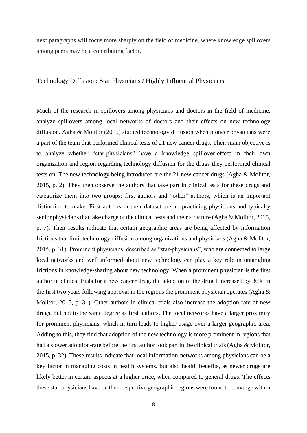next paragraphs will focus more sharply on the field of medicine, where knowledge spillovers among peers may be a contributing factor.

#### Technology Diffusion: Star Physicians / Highly Influential Physicians

Much of the research in spillovers among physicians and doctors in the field of medicine, analyze spillovers among local networks of doctors and their effects on new technology diffusion. Agha & Molitor (2015) studied technology diffusion when pioneer physicians were a part of the team that performed clinical tests of 21 new cancer drugs. Their main objective is to analyze whether "star-physicians" have a knowledge spillover-effect in their own organization and region regarding technology diffusion for the drugs they performed clinical tests on. The new technology being introduced are the 21 new cancer drugs (Agha & Molitor, 2015, p. 2). They then observe the authors that take part in clinical tests for these drugs and categorize them into two groups: first authors and "other" authors, which is an important distinction to make. First authors in their dataset are all practicing physicians and typically senior physicians that take charge of the clinical tests and their structure (Agha & Molitor, 2015, p. 7). Their results indicate that certain geographic areas are being affected by information frictions that limit technology diffusion among organizations and physicians (Agha & Molitor, 2015, p. 31). Prominent physicians, described as "star-physicians", who are connected to large local networks and well informed about new technology can play a key role in untangling frictions in knowledge-sharing about new technology. When a prominent physician is the first author in clinical trials for a new cancer drug, the adoption of the drug I increased by 36% in the first two years following approval in the regions the prominent physician operates (Agha  $\&$ Molitor, 2015, p. 31). Other authors in clinical trials also increase the adoption-rate of new drugs, but not to the same degree as first authors. The local networks have a larger proximity for prominent physicians, which in turn leads to higher usage over a larger geographic area. Adding to this, they find that adoption of the new technology is more prominent in regions that had a slower adoption-rate before the first author took part in the clinical trials (Agha & Molitor, 2015, p. 32). These results indicate that local information-networks among physicians can be a key factor in managing costs in health systems, but also health benefits, as newer drugs are likely better in certain aspects at a higher price, when compared to general drugs. The effects these star-physicians have on their respective geographic regions were found to converge within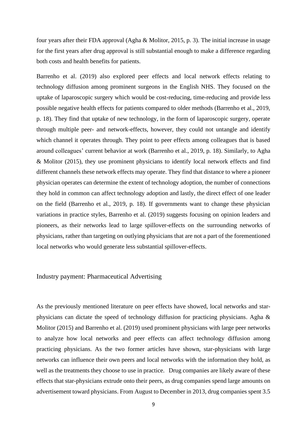four years after their FDA approval (Agha & Molitor, 2015, p. 3). The initial increase in usage for the first years after drug approval is still substantial enough to make a difference regarding both costs and health benefits for patients.

Barrenho et al. (2019) also explored peer effects and local network effects relating to technology diffusion among prominent surgeons in the English NHS. They focused on the uptake of laparoscopic surgery which would be cost-reducing, time-reducing and provide less possible negative health effects for patients compared to older methods (Barrenho et al., 2019, p. 18). They find that uptake of new technology, in the form of laparoscopic surgery, operate through multiple peer- and network-effects, however, they could not untangle and identify which channel it operates through. They point to peer effects among colleagues that is based around colleagues' current behavior at work (Barrenho et al., 2019, p. 18). Similarly, to Agha & Molitor (2015), they use prominent physicians to identify local network effects and find different channels these network effects may operate. They find that distance to where a pioneer physician operates can determine the extent of technology adoption, the number of connections they hold in common can affect technology adoption and lastly, the direct effect of one leader on the field (Barrenho et al., 2019, p. 18). If governments want to change these physician variations in practice styles, Barrenho et al. (2019) suggests focusing on opinion leaders and pioneers, as their networks lead to large spillover-effects on the surrounding networks of physicians, rather than targeting on outlying physicians that are not a part of the forementioned local networks who would generate less substantial spillover-effects.

#### Industry payment: Pharmaceutical Advertising

As the previously mentioned literature on peer effects have showed, local networks and starphysicians can dictate the speed of technology diffusion for practicing physicians. Agha & Molitor (2015) and Barrenho et al. (2019) used prominent physicians with large peer networks to analyze how local networks and peer effects can affect technology diffusion among practicing physicians. As the two former articles have shown, star-physicians with large networks can influence their own peers and local networks with the information they hold, as well as the treatments they choose to use in practice. Drug companies are likely aware of these effects that star-physicians extrude onto their peers, as drug companies spend large amounts on advertisement toward physicians. From August to December in 2013, drug companies spent 3.5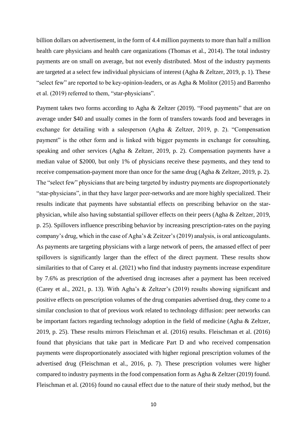billion dollars on advertisement, in the form of 4.4 million payments to more than half a million health care physicians and health care organizations (Thomas et al., 2014). The total industry payments are on small on average, but not evenly distributed. Most of the industry payments are targeted at a select few individual physicians of interest (Agha & Zeltzer, 2019, p. 1). These "select few" are reported to be key-opinion-leaders, or as Agha & Molitor (2015) and Barrenho et al. (2019) referred to them, "star-physicians".

Payment takes two forms according to Agha & Zeltzer (2019). "Food payments" that are on average under \$40 and usually comes in the form of transfers towards food and beverages in exchange for detailing with a salesperson (Agha & Zeltzer, 2019, p. 2). "Compensation payment" is the other form and is linked with bigger payments in exchange for consulting, speaking and other services (Agha & Zeltzer, 2019, p. 2). Compensation payments have a median value of \$2000, but only 1% of physicians receive these payments, and they tend to receive compensation-payment more than once for the same drug (Agha & Zeltzer, 2019, p. 2). The "select few" physicians that are being targeted by industry payments are disproportionately "star-physicians", in that they have larger peer-networks and are more highly specialized. Their results indicate that payments have substantial effects on prescribing behavior on the starphysician, while also having substantial spillover effects on their peers (Agha & Zeltzer, 2019, p. 25). Spillovers influence prescribing behavior by increasing prescription-rates on the paying company's drug, which in the case of Agha's & Zeitzer's (2019) analysis, is oral anticoagulants. As payments are targeting physicians with a large network of peers, the amassed effect of peer spillovers is significantly larger than the effect of the direct payment. These results show similarities to that of Carey et al. (2021) who find that industry payments increase expenditure by 7.6% as prescription of the advertised drug increases after a payment has been received (Carey et al., 2021, p. 13). With Agha's & Zeltzer's (2019) results showing significant and positive effects on prescription volumes of the drug companies advertised drug, they come to a similar conclusion to that of previous work related to technology diffusion: peer networks can be important factors regarding technology adoption in the field of medicine (Agha & Zeltzer, 2019, p. 25). These results mirrors Fleischman et al. (2016) results. Fleischman et al. (2016) found that physicians that take part in Medicare Part D and who received compensation payments were disproportionately associated with higher regional prescription volumes of the advertised drug (Fleischman et al., 2016, p. 7). These prescription volumes were higher compared to industry payments in the food compensation form as Agha & Zeltzer (2019) found. Fleischman et al. (2016) found no causal effect due to the nature of their study method, but the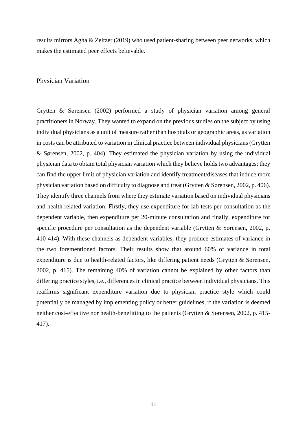results mirrors Agha & Zeltzer (2019) who used patient-sharing between peer networks, which makes the estimated peer effects believable.

#### Physician Variation

Grytten & Sørensen (2002) performed a study of physician variation among general practitioners in Norway. They wanted to expand on the previous studies on the subject by using individual physicians as a unit of measure rather than hospitals or geographic areas, as variation in costs can be attributed to variation in clinical practice between individual physicians (Grytten & Sørensen, 2002, p. 404). They estimated the physician variation by using the individual physician data to obtain total physician variation which they believe holds two advantages; they can find the upper limit of physician variation and identify treatment/diseases that induce more physician variation based on difficulty to diagnose and treat (Grytten & Sørensen, 2002, p. 406). They identify three channels from where they estimate variation based on individual physicians and health related variation. Firstly, they use expenditure for lab-tests per consultation as the dependent variable, then expenditure per 20-minute consultation and finally, expenditure for specific procedure per consultation as the dependent variable (Grytten & Sørensen, 2002, p. 410-414). With these channels as dependent variables, they produce estimates of variance in the two forementioned factors. Their results show that around 60% of variance in total expenditure is due to health-related factors, like differing patient needs (Grytten & Sørensen, 2002, p. 415). The remaining 40% of variation cannot be explained by other factors than differing practice styles, i.e., differences in clinical practice between individual physicians. This reaffirms significant expenditure variation due to physician practice style which could potentially be managed by implementing policy or better guidelines, if the variation is deemed neither cost-effective nor health-benefitting to the patients (Grytten & Sørensen, 2002, p. 415- 417).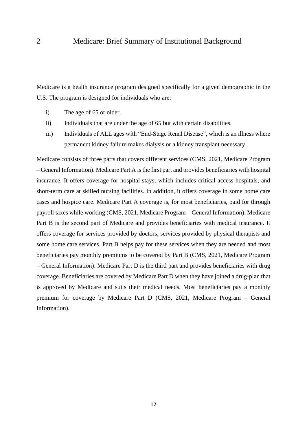Medicare is a health insurance program designed specifically for a given demographic in the U.S. The program is designed for individuals who are:

- i) The age of 65 or older.
- ii) Individuals that are under the age of 65 but with certain disabilities.
- iii) Individuals of ALL ages with "End-Stage Renal Disease", which is an illness where permanent kidney failure makes dialysis or a kidney transplant necessary.

Medicare consists of three parts that covers different services (CMS, 2021, Medicare Program – General Information). Medicare Part A is the first part and provides beneficiaries with hospital insurance. It offers coverage for hospital stays, which includes critical access hospitals, and short-term care at skilled nursing facilities. In addition, it offers coverage in some home care cases and hospice care. Medicare Part A coverage is, for most beneficiaries, paid for through payroll taxes while working (CMS, 2021, Medicare Program – General Information). Medicare Part B is the second part of Medicare and provides beneficiaries with medical insurance. It offers coverage for services provided by doctors, services provided by physical therapists and some home care services. Part B helps pay for these services when they are needed and most beneficiaries pay monthly premiums to be covered by Part B (CMS, 2021, Medicare Program – General Information). Medicare Part D is the third part and provides beneficiaries with drug coverage. Beneficiaries are covered by Medicare Part D when they have joined a drug-plan that is approved by Medicare and suits their medical needs. Most beneficiaries pay a monthly premium for coverage by Medicare Part D (CMS, 2021, Medicare Program – General Information).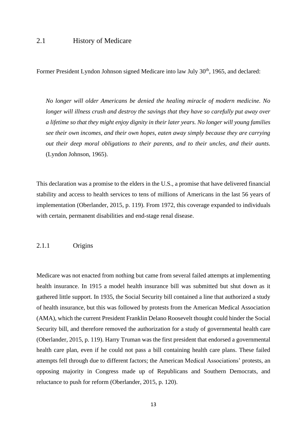Former President Lyndon Johnson signed Medicare into law July 30<sup>th</sup>, 1965, and declared:

*No longer will older Americans be denied the healing miracle of modern medicine. No longer will illness crush and destroy the savings that they have so carefully put away over a lifetime so that they might enjoy dignity in their later years. No longer will young families see their own incomes, and their own hopes, eaten away simply because they are carrying out their deep moral obligations to their parents, and to their uncles, and their aunts.*  (Lyndon Johnson, 1965).

This declaration was a promise to the elders in the U.S., a promise that have delivered financial stability and access to health services to tens of millions of Americans in the last 56 years of implementation (Oberlander, 2015, p. 119). From 1972, this coverage expanded to individuals with certain, permanent disabilities and end-stage renal disease.

2.1.1 Origins

Medicare was not enacted from nothing but came from several failed attempts at implementing health insurance. In 1915 a model health insurance bill was submitted but shut down as it gathered little support. In 1935, the Social Security bill contained a line that authorized a study of health insurance, but this was followed by protests from the American Medical Association (AMA), which the current President Franklin Delano Roosevelt thought could hinder the Social Security bill, and therefore removed the authorization for a study of governmental health care (Oberlander, 2015, p. 119). Harry Truman was the first president that endorsed a governmental health care plan, even if he could not pass a bill containing health care plans. These failed attempts fell through due to different factors; the American Medical Associations' protests, an opposing majority in Congress made up of Republicans and Southern Democrats, and reluctance to push for reform (Oberlander, 2015, p. 120).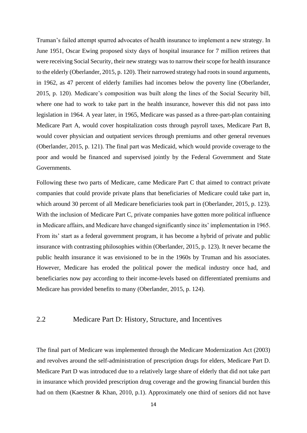Truman's failed attempt spurred advocates of health insurance to implement a new strategy. In June 1951, Oscar Ewing proposed sixty days of hospital insurance for 7 million retirees that were receiving Social Security, their new strategy was to narrow their scope for health insurance to the elderly (Oberlander, 2015, p. 120). Their narrowed strategy had roots in sound arguments, in 1962, as 47 percent of elderly families had incomes below the poverty line (Oberlander, 2015, p. 120). Medicare's composition was built along the lines of the Social Security bill, where one had to work to take part in the health insurance, however this did not pass into legislation in 1964. A year later, in 1965, Medicare was passed as a three-part-plan containing Medicare Part A, would cover hospitalization costs through payroll taxes, Medicare Part B, would cover physician and outpatient services through premiums and other general revenues (Oberlander, 2015, p. 121). The final part was Medicaid, which would provide coverage to the poor and would be financed and supervised jointly by the Federal Government and State Governments.

Following these two parts of Medicare, came Medicare Part C that aimed to contract private companies that could provide private plans that beneficiaries of Medicare could take part in, which around 30 percent of all Medicare beneficiaries took part in (Oberlander, 2015, p. 123). With the inclusion of Medicare Part C, private companies have gotten more political influence in Medicare affairs, and Medicare have changed significantly since its' implementation in 1965. From its' start as a federal government program, it has become a hybrid of private and public insurance with contrasting philosophies within (Oberlander, 2015, p. 123). It never became the public health insurance it was envisioned to be in the 1960s by Truman and his associates. However, Medicare has eroded the political power the medical industry once had, and beneficiaries now pay according to their income-levels based on differentiated premiums and Medicare has provided benefits to many (Oberlander, 2015, p. 124).

### 2.2 Medicare Part D: History, Structure, and Incentives

The final part of Medicare was implemented through the Medicare Modernization Act (2003) and revolves around the self-administration of prescription drugs for elders, Medicare Part D. Medicare Part D was introduced due to a relatively large share of elderly that did not take part in insurance which provided prescription drug coverage and the growing financial burden this had on them (Kaestner & Khan, 2010, p.1). Approximately one third of seniors did not have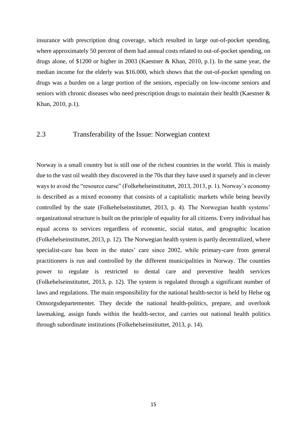insurance with prescription drug coverage, which resulted in large out-of-pocket spending, where approximately 50 percent of them had annual costs related to out-of-pocket spending, on drugs alone, of \$1200 or higher in 2003 (Kaestner & Khan, 2010, p.1). In the same year, the median income for the elderly was \$16.000, which shows that the out-of-pocket spending on drugs was a burden on a large portion of the seniors, especially on low-income seniors and seniors with chronic diseases who need prescription drugs to maintain their health (Kaestner & Khan, 2010, p.1).

### 2.3 Transferability of the Issue: Norwegian context

Norway is a small country but is still one of the richest countries in the world. This is mainly due to the vast oil wealth they discovered in the 70s that they have used it sparsely and in clever ways to avoid the "resource curse" (Folkehelseinstituttet, 2013, 2013, p. 1). Norway's economy is described as a mixed economy that consists of a capitalistic markets while being heavily controlled by the state (Folkehelseinstituttet, 2013, p. 4). The Norwegian health systems' organizational structure is built on the principle of equality for all citizens. Every individual has equal access to services regardless of economic, social status, and geographic location (Folkehelseinstituttet, 2013, p. 12). The Norwegian health system is partly decentralized, where specialist-care has been in the states' care since 2002, while primary-care from general practitioners is run and controlled by the different municipalities in Norway. The counties power to regulate is restricted to dental care and preventive health services (Folkehelseinstituttet, 2013, p. 12). The system is regulated through a significant number of laws and regulations. The main responsibility for the national health-sector is held by Helse og Omsorgsdepartementet. They decide the national health-politics, prepare, and overlook lawmaking, assign funds within the health-sector, and carries out national health politics through subordinate institutions (Folkehelseinstituttet, 2013, p. 14).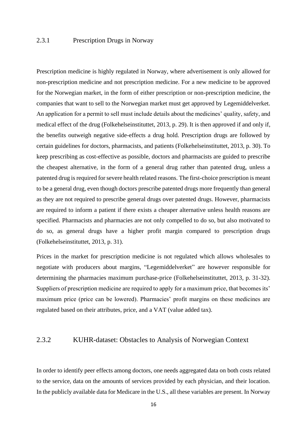### 2.3.1 Prescription Drugs in Norway

Prescription medicine is highly regulated in Norway, where advertisement is only allowed for non-prescription medicine and not prescription medicine. For a new medicine to be approved for the Norwegian market, in the form of either prescription or non-prescription medicine, the companies that want to sell to the Norwegian market must get approved by Legemiddelverket. An application for a permit to sell must include details about the medicines' quality, safety, and medical effect of the drug (Folkehelseinstituttet, 2013, p. 29). It is then approved if and only if, the benefits outweigh negative side-effects a drug hold. Prescription drugs are followed by certain guidelines for doctors, pharmacists, and patients (Folkehelseinstituttet, 2013, p. 30). To keep prescribing as cost-effective as possible, doctors and pharmacists are guided to prescribe the cheapest alternative, in the form of a general drug rather than patented drug, unless a patented drug is required for severe health related reasons. The first-choice prescription is meant to be a general drug, even though doctors prescribe patented drugs more frequently than general as they are not required to prescribe general drugs over patented drugs. However, pharmacists are required to inform a patient if there exists a cheaper alternative unless health reasons are specified. Pharmacists and pharmacies are not only compelled to do so, but also motivated to do so, as general drugs have a higher profit margin compared to prescription drugs (Folkehelseinstituttet, 2013, p. 31).

Prices in the market for prescription medicine is not regulated which allows wholesales to negotiate with producers about margins, "Legemiddelverket" are however responsible for determining the pharmacies maximum purchase-price (Folkehelseinstituttet, 2013, p. 31-32). Suppliers of prescription medicine are required to apply for a maximum price, that becomes its' maximum price (price can be lowered). Pharmacies' profit margins on these medicines are regulated based on their attributes, price, and a VAT (value added tax).

#### 2.3.2 KUHR-dataset: Obstacles to Analysis of Norwegian Context

In order to identify peer effects among doctors, one needs aggregated data on both costs related to the service, data on the amounts of services provided by each physician, and their location. In the publicly available data for Medicare in the U.S., all these variables are present. In Norway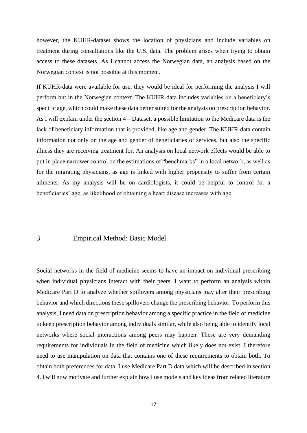however, the KUHR-dataset shows the location of physicians and include variables on treatment during consultations like the U.S. data. The problem arises when trying to obtain access to these datasets. As I cannot access the Norwegian data, an analysis based on the Norwegian context is not possible at this moment.

If KUHR-data were available for use, they would be ideal for performing the analysis I will perform but in the Norwegian context. The KUHR-data includes variables on a beneficiary's specific age, which could make these data better suited for the analysis on prescription behavior. As I will explain under the section 4 – Dataset, a possible limitation to the Medicare data is the lack of beneficiary information that is provided, like age and gender. The KUHR-data contain information not only on the age and gender of beneficiaries of services, but also the specific illness they are receiving treatment for. An analysis on local network effects would be able to put in place narrower control on the estimations of "benchmarks" in a local network, as well as for the migrating physicians, as age is linked with higher propensity to suffer from certain ailments. As my analysis will be on cardiologists, it could be helpful to control for a beneficiaries' age, as likelihood of obtaining a heart disease increases with age.

#### 3 Empirical Method: Basic Model

Social networks in the field of medicine seems to have an impact on individual prescribing when individual physicians interact with their peers. I want to perform an analysis within Medicare Part D to analyze whether spillovers among physicians may alter their prescribing behavior and which directions these spillovers change the prescribing behavior. To perform this analysis, I need data on prescription behavior among a specific practice in the field of medicine to keep prescription behavior among individuals similar, while also being able to identify local networks where social interactions among peers may happen. These are very demanding requirements for individuals in the field of medicine which likely does not exist. I therefore need to use manipulation on data that contains one of these requirements to obtain both. To obtain both preferences for data, I use Medicare Part D data which will be described in section 4. I will now motivate and further explain how I use models and key ideas from related literature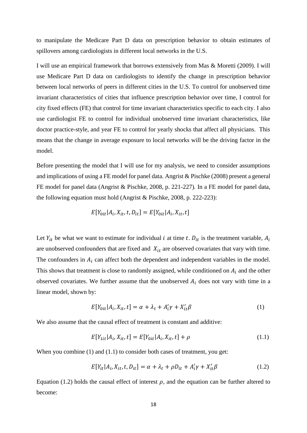to manipulate the Medicare Part D data on prescription behavior to obtain estimates of spillovers among cardiologists in different local networks in the U.S.

I will use an empirical framework that borrows extensively from Mas & Moretti (2009). I will use Medicare Part D data on cardiologists to identify the change in prescription behavior between local networks of peers in different cities in the U.S. To control for unobserved time invariant characteristics of cities that influence prescription behavior over time, I control for city fixed effects (FE) that control for time invariant characteristics specific to each city. I also use cardiologist FE to control for individual unobserved time invariant characteristics, like doctor practice-style, and year FE to control for yearly shocks that affect all physicians. This means that the change in average exposure to local networks will be the driving factor in the model.

Before presenting the model that I will use for my analysis, we need to consider assumptions and implications of using a FE model for panel data. Angrist & Pischke (2008) present a general FE model for panel data (Angrist & Pischke, 2008, p. 221-227)*.* In a FE model for panel data, the following equation must hold (Angrist & Pischke, 2008, p. 222-223):

$$
E[Y_{0it}|A_i, X_{it}, t, D_{it}] = E[Y_{0it}|A_i, X_{it}, t]
$$

Let  $Y_{it}$  be what we want to estimate for individual *i* at time *t*.  $D_{it}$  is the treatment variable,  $A_i$ are unobserved confounders that are fixed and  $X_{it}$  are observed covariates that vary with time. The confounders in  $A_i$  can affect both the dependent and independent variables in the model. This shows that treatment is close to randomly assigned, while conditioned on  $A_i$  and the other observed covariates. We further assume that the unobserved  $A_i$  does not vary with time in a linear model, shown by:

$$
E[Y_{0it}|A_i, X_{it}, t] = \alpha + \lambda_t + A'_i \gamma + X'_{it} \beta \tag{1}
$$

We also assume that the causal effect of treatment is constant and additive:

$$
E[Y_{1it}|A_i, X_{it}, t] = E[Y_{0it}|A_i, X_{it}, t] + \rho
$$
\n(1.1)

When you combine (1) and (1.1) to consider both cases of treatment, you get:

$$
E[Y_{it}|A_i, X_{it}, t, D_{it}] = \alpha + \lambda_t + \rho D_{it} + A'_i \gamma + X'_{it} \beta \tag{1.2}
$$

Equation (1.2) holds the causal effect of interest  $\rho$ , and the equation can be further altered to become: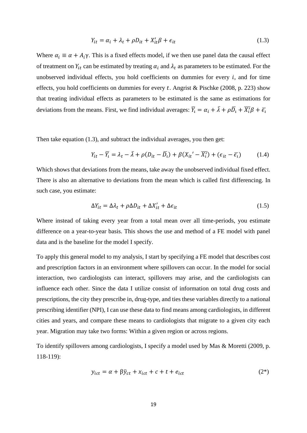$$
Y_{it} = \alpha_i + \lambda_t + \rho D_{it} + X_{it}' \beta + \epsilon_{it}
$$
\n(1.3)

Where  $\alpha_i \equiv \alpha + A_i \gamma$ . This is a fixed effects model, if we then use panel data the causal effect of treatment on  $Y_{it}$  can be estimated by treating  $\alpha_i$  and  $\lambda_t$  as parameters to be estimated. For the unobserved individual effects, you hold coefficients on dummies for every  $i$ , and for time effects, you hold coefficients on dummies for every t. Angrist & Pischke (2008, p. 223) show that treating individual effects as parameters to be estimated is the same as estimations for deviations from the means. First, we find individual averages:  $\overline{Y}_t = \alpha_t + \overline{\lambda} + \rho \overline{D}_t + \overline{X'_t} \beta + \overline{\epsilon_t}$ 

Then take equation (1.3), and subtract the individual averages, you then get:

$$
Y_{it} - \overline{Y}_t = \lambda_t - \overline{\lambda} + \rho (D_{it} - \overline{D}_t) + \beta (X_{it}' - \overline{X'_t}) + (\epsilon_{it} - \overline{\epsilon_t})
$$
(1.4)

Which shows that deviations from the means, take away the unobserved individual fixed effect. There is also an alternative to deviations from the mean which is called first differencing. In such case, you estimate:

$$
\Delta Y_{it} = \Delta \lambda_t + \rho \Delta D_{it} + \Delta X'_{it} + \Delta \epsilon_{it}
$$
\n(1.5)

Where instead of taking every year from a total mean over all time-periods, you estimate difference on a year-to-year basis. This shows the use and method of a FE model with panel data and is the baseline for the model I specify.

To apply this general model to my analysis, I start by specifying a FE model that describes cost and prescription factors in an environment where spillovers can occur. In the model for social interaction, two cardiologists can interact, spillovers may arise, and the cardiologists can influence each other. Since the data I utilize consist of information on total drug costs and prescriptions, the city they prescribe in, drug-type, and ties these variables directly to a national prescribing identifier (NPI), I can use these data to find means among cardiologists, in different cities and years, and compare these means to cardiologists that migrate to a given city each year. Migration may take two forms: Within a given region or across regions.

To identify spillovers among cardiologists, I specify a model used by Mas & Moretti (2009, p. 118-119):

$$
y_{ict} = \alpha + \beta \bar{y}_{ct} + x_{ict} + c + t + e_{ict}
$$
 (2\*)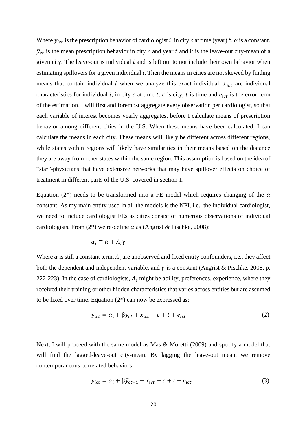Where  $y_{ict}$  is the prescription behavior of cardiologist i, in city c at time (year) t.  $\alpha$  is a constant.  $\bar{y}_{ct}$  is the mean prescription behavior in city c and year t and it is the leave-out city-mean of a given city. The leave-out is individual  $i$  and is left out to not include their own behavior when estimating spillovers for a given individual  $i$ . Then the means in cities are not skewed by finding means that contain individual  $i$  when we analyze this exact individual.  $x_{ict}$  are individual characteristics for individual i, in city  $c$  at time  $t$ .  $c$  is city,  $t$  is time and  $e_{ict}$  is the error-term of the estimation. I will first and foremost aggregate every observation per cardiologist, so that each variable of interest becomes yearly aggregates, before I calculate means of prescription behavior among different cities in the U.S. When these means have been calculated, I can calculate the means in each city. These means will likely be different across different regions, while states within regions will likely have similarities in their means based on the distance they are away from other states within the same region. This assumption is based on the idea of "star"-physicians that have extensive networks that may have spillover effects on choice of treatment in different parts of the U.S. covered in section 1.

Equation (2<sup>\*</sup>) needs to be transformed into a FE model which requires changing of the  $\alpha$ constant. As my main entity used in all the models is the NPI, i.e., the individual cardiologist, we need to include cardiologist FEs as cities consist of numerous observations of individual cardiologists. From  $(2^*)$  we re-define  $\alpha$  as (Angrist & Pischke, 2008):

$$
\alpha_i \equiv \alpha + A_i \gamma
$$

Where  $\alpha$  is still a constant term,  $A_i$  are unobserved and fixed entity confounders, i.e., they affect both the dependent and independent variable, and  $\gamma$  is a constant (Angrist & Pischke, 2008, p. 222-223). In the case of cardiologists,  $A_i$  might be ability, preferences, experience, where they received their training or other hidden characteristics that varies across entities but are assumed to be fixed over time. Equation  $(2^*)$  can now be expressed as:

$$
y_{ict} = \alpha_i + \beta \bar{y}_{ct} + x_{ict} + c + t + e_{ict}
$$
 (2)

Next, I will proceed with the same model as Mas & Moretti (2009) and specify a model that will find the lagged-leave-out city-mean. By lagging the leave-out mean, we remove contemporaneous correlated behaviors:

$$
y_{ict} = \alpha_i + \beta \bar{y}_{ct-1} + x_{ict} + c + t + e_{ict}
$$
 (3)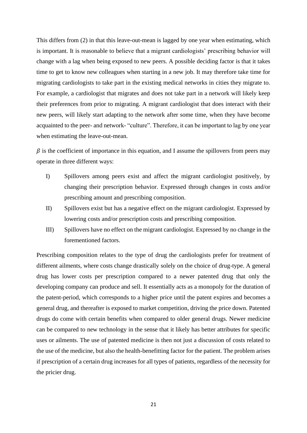This differs from (2) in that this leave-out-mean is lagged by one year when estimating, which is important. It is reasonable to believe that a migrant cardiologists' prescribing behavior will change with a lag when being exposed to new peers. A possible deciding factor is that it takes time to get to know new colleagues when starting in a new job. It may therefore take time for migrating cardiologists to take part in the existing medical networks in cities they migrate to. For example, a cardiologist that migrates and does not take part in a network will likely keep their preferences from prior to migrating. A migrant cardiologist that does interact with their new peers, will likely start adapting to the network after some time, when they have become acquainted to the peer- and network- "culture". Therefore, it can be important to lag by one year when estimating the leave-out-mean.

 $\beta$  is the coefficient of importance in this equation, and I assume the spillovers from peers may operate in three different ways:

- I) Spillovers among peers exist and affect the migrant cardiologist positively, by changing their prescription behavior. Expressed through changes in costs and/or prescribing amount and prescribing composition.
- II) Spillovers exist but has a negative effect on the migrant cardiologist. Expressed by lowering costs and/or prescription costs and prescribing composition.
- III) Spillovers have no effect on the migrant cardiologist. Expressed by no change in the forementioned factors.

Prescribing composition relates to the type of drug the cardiologists prefer for treatment of different ailments, where costs change drastically solely on the choice of drug-type. A general drug has lower costs per prescription compared to a newer patented drug that only the developing company can produce and sell. It essentially acts as a monopoly for the duration of the patent-period, which corresponds to a higher price until the patent expires and becomes a general drug, and thereafter is exposed to market competition, driving the price down. Patented drugs do come with certain benefits when compared to older general drugs. Newer medicine can be compared to new technology in the sense that it likely has better attributes for specific uses or ailments. The use of patented medicine is then not just a discussion of costs related to the use of the medicine, but also the health-benefitting factor for the patient. The problem arises if prescription of a certain drug increases for all types of patients, regardless of the necessity for the pricier drug.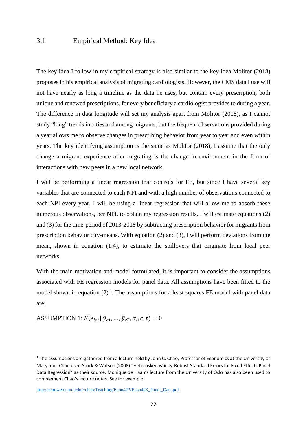### 3.1 Empirical Method: Key Idea

The key idea I follow in my empirical strategy is also similar to the key idea Molitor (2018) proposes in his empirical analysis of migrating cardiologists. However, the CMS data I use will not have nearly as long a timeline as the data he uses, but contain every prescription, both unique and renewed prescriptions, for every beneficiary a cardiologist provides to during a year. The difference in data longitude will set my analysis apart from Molitor (2018), as I cannot study "long" trends in cities and among migrants, but the frequent observations provided during a year allows me to observe changes in prescribing behavior from year to year and even within years. The key identifying assumption is the same as Molitor (2018), I assume that the only change a migrant experience after migrating is the change in environment in the form of interactions with new peers in a new local network.

I will be performing a linear regression that controls for FE, but since I have several key variables that are connected to each NPI and with a high number of observations connected to each NPI every year, I will be using a linear regression that will allow me to absorb these numerous observations, per NPI, to obtain my regression results. I will estimate equations (2) and (3) for the time-period of 2013-2018 by subtracting prescription behavior for migrants from prescription behavior city-means. With equation (2) and (3), I will perform deviations from the mean, shown in equation (1.4), to estimate the spillovers that originate from local peer networks.

With the main motivation and model formulated, it is important to consider the assumptions associated with FE regression models for panel data. All assumptions have been fitted to the model shown in equation  $(2)^{\frac{1}{2}}$ . The assumptions for a least squares FE model with panel data are:

<u>ASSUMPTION 1:</u>  $E(e_{ict} | \bar{y}_{c1}, ..., \bar{y}_{cT}, \alpha_i, c, t) = 0$ 

<sup>&</sup>lt;sup>1</sup> The assumptions are gathered from a lecture held by John C. Chao, Professor of Economics at the University of Maryland. Chao used Stock & Watson (2008) "Heteroskedasticity-Robust Standard Errors for Fixed Effects Panel Data Regression" as their source. Monique de Haan's lecture from the University of Oslo has also been used to complement Chao's lecture notes. See for example:

[http://econweb.umd.edu/~chao/Teaching/Econ423/Econ423\\_Panel\\_Data.pdf](http://econweb.umd.edu/~chao/Teaching/Econ423/Econ423_Panel_Data.pdf)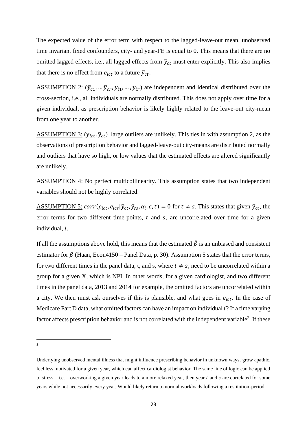The expected value of the error term with respect to the lagged-leave-out mean, unobserved time invariant fixed confounders, city- and year-FE is equal to 0. This means that there are no omitted lagged effects, i.e., all lagged effects from  $\bar{y}_{ct}$  must enter explicitly. This also implies that there is no effect from  $e_{ict}$  to a future  $\bar{y}_{ct}$ .

ASSUMPTION 2:  $(\bar{y}_{c1}, \dots, \bar{y}_{cT}, y_{i1}, \dots, y_{iT})$  are independent and identical distributed over the cross-section, i.e., all individuals are normally distributed. This does not apply over time for a given individual, as prescription behavior is likely highly related to the leave-out city-mean from one year to another.

ASSUMPTION 3:  $(y_{ict}, \bar{y}_{ct})$  large outliers are unlikely. This ties in with assumption 2, as the observations of prescription behavior and lagged-leave-out city-means are distributed normally and outliers that have so high, or low values that the estimated effects are altered significantly are unlikely.

ASSUMPTION 4: No perfect multicollinearity. This assumption states that two independent variables should not be highly correlated.

<u>ASSUMPTION 5:</u>  $corr(e_{ict}, e_{ics} | \bar{y}_{ct}, \bar{y}_{cs}, \alpha_i, c, t) = 0$  for  $t \neq s$ . This states that given  $\bar{y}_{ct}$ , the error terms for two different time-points,  $t$  and  $s$ , are uncorrelated over time for a given individual,  $i$ .

If all the assumptions above hold, this means that the estimated  $\hat{\beta}$  is an unbiased and consistent estimator for  $\beta$  (Haan, Econ4150 – Panel Data, p. 30). Assumption 5 states that the error terms, for two different times in the panel data, t, and s, where  $t \neq s$ , need to be uncorrelated within a group for a given X, which is NPI. In other words, for a given cardiologist, and two different times in the panel data, 2013 and 2014 for example, the omitted factors are uncorrelated within a city. We then must ask ourselves if this is plausible, and what goes in  $e_{ict}$ . In the case of Medicare Part D data, what omitted factors can have an impact on individual  $i$ ? If a time varying factor affects prescription behavior and is not correlated with the independent variable<sup>2</sup>. If these

2

Underlying unobserved mental illness that might influence prescribing behavior in unknown ways, grow apathic, feel less motivated for a given year, which can affect cardiologist behavior. The same line of logic can be applied to stress  $-$  i.e.  $-$  overworking a given year leads to a more relaxed year, then year  $t$  and  $s$  are correlated for some years while not necessarily every year. Would likely return to normal workloads following a restitution-period.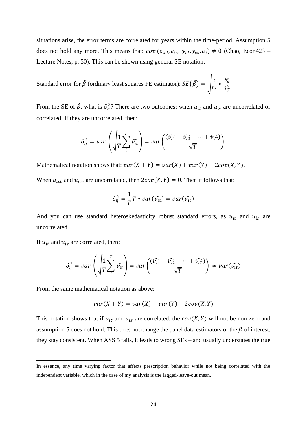situations arise, the error terms are correlated for years within the time-period. Assumption 5 does not hold any more. This means that:  $cov(e_{ict}, e_{ics} | \bar{y}_{ct}, \bar{y}_{cs}, \alpha_i) \neq 0$  (Chao, Econ423 – Lecture Notes, p. 50). This can be shown using general SE notation:

Standard error for  $\widehat{\beta}$  (ordinary least squares FE estimator):  $SE(\widehat{\beta}) = \begin{bmatrix} \frac{1}{n^2} \end{bmatrix}$  $rac{1}{nT} * \frac{\widehat{\sigma}_{\eta}^2}{\widehat{\sigma}_{\widehat{\eta}}^2}$  $\widehat{Q_{\widetilde{\mathcal{Y}}}}^{\widehat{4}}$ 

From the SE of  $\hat{\beta}$ , what is  $\hat{\sigma}_{\eta}^2$ ? There are two outcomes: when  $u_{it}$  and  $u_{is}$  are uncorrelated or correlated. If they are uncorrelated, then:

$$
\hat{\sigma}_{\eta}^{2} = var\left(\sqrt{\frac{1}{T}\sum_{i}^{T}\widehat{v_{it}}}\right) = var\left(\frac{(\widehat{v_{i1}} + \widehat{v_{i2}} + \dots + \widehat{v_{iT}})}{\sqrt{T}}\right)
$$

Mathematical notation shows that:  $var(X + Y) = var(X) + var(Y) + 2cov(X, Y)$ .

When  $u_{ict}$  and  $u_{ics}$  are uncorrelated, then  $2cov(X, Y) = 0$ . Then it follows that:

$$
\hat{\sigma}_{\eta}^2 = \frac{1}{T}T * var(\widehat{v_{tt}}) = var(\widehat{v_{tt}})
$$

And you can use standard heteroskedasticity robust standard errors, as  $u_{it}$  and  $u_{is}$  are uncorrelated.

If  $u_{it}$  and  $u_{is}$  are correlated, then:

$$
\hat{\sigma}_{\eta}^{2} = var\left(\sqrt{\frac{1}{T}\sum_{i}^{T}\widehat{v_{it}}}\right) = var\left(\frac{(\widehat{v_{t1}} + \widehat{v_{t2}} + \dots + \widehat{v_{tT}})}{\sqrt{T}}\right) \neq var(\widehat{v_{it}})
$$

From the same mathematical notation as above:

$$
var(X + Y) = var(X) + var(Y) + 2cov(X, Y)
$$

This notation shows that if  $u_{it}$  and  $u_{is}$  are correlated, the  $cov(X, Y)$  will not be non-zero and assumption 5 does not hold. This does not change the panel data estimators of the  $\beta$  of interest, they stay consistent. When ASS 5 fails, it leads to wrong SEs – and usually understates the true

In essence, any time varying factor that affects prescription behavior while not being correlated with the independent variable, which in the case of my analysis is the lagged-leave-out mean.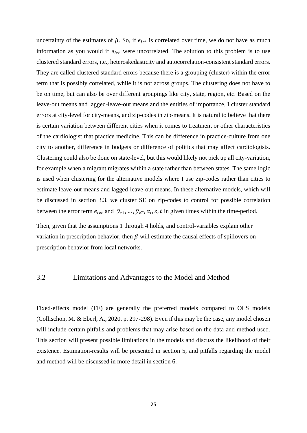uncertainty of the estimates of  $\beta$ . So, if  $e_{ict}$  is correlated over time, we do not have as much information as you would if  $e_{ict}$  were uncorrelated. The solution to this problem is to use clustered standard errors, i.e., heteroskedasticity and autocorrelation-consistent standard errors. They are called clustered standard errors because there is a grouping (cluster) within the error term that is possibly correlated, while it is not across groups. The clustering does not have to be on time, but can also be over different groupings like city, state, region, etc. Based on the leave-out means and lagged-leave-out means and the entities of importance, I cluster standard errors at city-level for city-means, and zip-codes in zip-means. It is natural to believe that there is certain variation between different cities when it comes to treatment or other characteristics of the cardiologist that practice medicine. This can be difference in practice-culture from one city to another, difference in budgets or difference of politics that may affect cardiologists. Clustering could also be done on state-level, but this would likely not pick up all city-variation, for example when a migrant migrates within a state rather than between states. The same logic is used when clustering for the alternative models where I use zip-codes rather than cities to estimate leave-out means and lagged-leave-out means. In these alternative models, which will be discussed in section 3.3, we cluster SE on zip-codes to control for possible correlation between the error term  $e_{izt}$  and  $\bar{y}_{z1}, \dots, \bar{y}_{zT}, \alpha_i, z, t$  in given times within the time-period.

Then, given that the assumptions 1 through 4 holds, and control-variables explain other variation in prescription behavior, then  $\beta$  will estimate the causal effects of spillovers on prescription behavior from local networks.

#### 3.2 Limitations and Advantages to the Model and Method

Fixed-effects model (FE) are generally the preferred models compared to OLS models (Collischon, M. & Eberl, A., 2020, p. 297-298). Even if this may be the case, any model chosen will include certain pitfalls and problems that may arise based on the data and method used. This section will present possible limitations in the models and discuss the likelihood of their existence. Estimation-results will be presented in section 5, and pitfalls regarding the model and method will be discussed in more detail in section 6.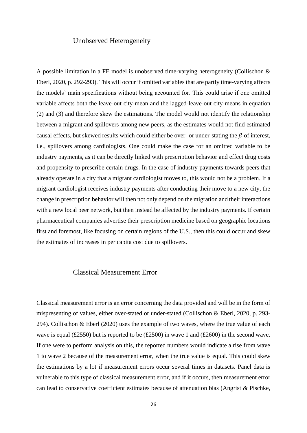#### Unobserved Heterogeneity

A possible limitation in a FE model is unobserved time-varying heterogeneity (Collischon & Eberl, 2020, p. 292-293). This will occur if omitted variables that are partly time-varying affects the models' main specifications without being accounted for. This could arise if one omitted variable affects both the leave-out city-mean and the lagged-leave-out city-means in equation (2) and (3) and therefore skew the estimations. The model would not identify the relationship between a migrant and spillovers among new peers, as the estimates would not find estimated causal effects, but skewed results which could either be over- or under-stating the  $\beta$  of interest, i.e., spillovers among cardiologists. One could make the case for an omitted variable to be industry payments, as it can be directly linked with prescription behavior and effect drug costs and propensity to prescribe certain drugs. In the case of industry payments towards peers that already operate in a city that a migrant cardiologist moves to, this would not be a problem. If a migrant cardiologist receives industry payments after conducting their move to a new city, the change in prescription behavior will then not only depend on the migration and their interactions with a new local peer network, but then instead be affected by the industry payments. If certain pharmaceutical companies advertise their prescription medicine based on geographic locations first and foremost, like focusing on certain regions of the U.S., then this could occur and skew the estimates of increases in per capita cost due to spillovers.

#### Classical Measurement Error

Classical measurement error is an error concerning the data provided and will be in the form of mispresenting of values, either over-stated or under-stated (Collischon & Eberl, 2020, p. 293- 294). Collischon & Eberl (2020) uses the example of two waves, where the true value of each wave is equal (£2550) but is reported to be (£2500) in wave 1 and (£2600) in the second wave. If one were to perform analysis on this, the reported numbers would indicate a rise from wave 1 to wave 2 because of the measurement error, when the true value is equal. This could skew the estimations by a lot if measurement errors occur several times in datasets. Panel data is vulnerable to this type of classical measurement error, and if it occurs, then measurement error can lead to conservative coefficient estimates because of attenuation bias (Angrist & Pischke,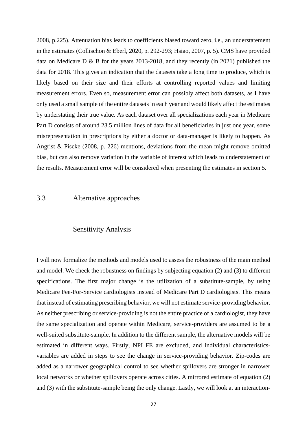2008, p.225). Attenuation bias leads to coefficients biased toward zero, i.e., an understatement in the estimates (Collischon & Eberl, 2020, p. 292-293; Hsiao, 2007, p. 5). CMS have provided data on Medicare D & B for the years 2013-2018, and they recently (in 2021) published the data for 2018. This gives an indication that the datasets take a long time to produce, which is likely based on their size and their efforts at controlling reported values and limiting measurement errors. Even so, measurement error can possibly affect both datasets, as I have only used a small sample of the entire datasets in each year and would likely affect the estimates by understating their true value. As each dataset over all specializations each year in Medicare Part D consists of around 23.5 million lines of data for all beneficiaries in just one year, some misrepresentation in prescriptions by either a doctor or data-manager is likely to happen. As Angrist & Piscke (2008, p. 226) mentions, deviations from the mean might remove omitted bias, but can also remove variation in the variable of interest which leads to understatement of the results. Measurement error will be considered when presenting the estimates in section 5.

#### 3.3 Alternative approaches

#### Sensitivity Analysis

I will now formalize the methods and models used to assess the robustness of the main method and model. We check the robustness on findings by subjecting equation (2) and (3) to different specifications. The first major change is the utilization of a substitute-sample, by using Medicare Fee-For-Service cardiologists instead of Medicare Part D cardiologists. This means that instead of estimating prescribing behavior, we will not estimate service-providing behavior. As neither prescribing or service-providing is not the entire practice of a cardiologist, they have the same specialization and operate within Medicare, service-providers are assumed to be a well-suited substitute-sample. In addition to the different sample, the alternative models will be estimated in different ways. Firstly, NPI FE are excluded, and individual characteristicsvariables are added in steps to see the change in service-providing behavior. Zip-codes are added as a narrower geographical control to see whether spillovers are stronger in narrower local networks or whether spillovers operate across cities. A mirrored estimate of equation (2) and (3) with the substitute-sample being the only change. Lastly, we will look at an interaction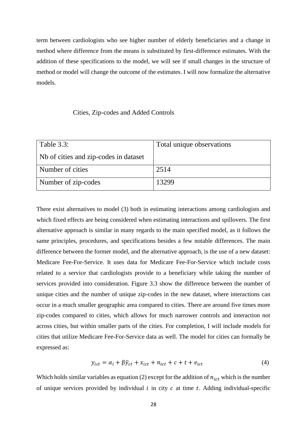term between cardiologists who see higher number of elderly beneficiaries and a change in method where difference from the means is substituted by first-difference estimates. With the addition of these specifications to the model, we will see if small changes in the structure of method or model will change the outcome of the estimates. I will now formalize the alternative models.

#### Cities, Zip-codes and Added Controls

| Table 3.3:                            | Total unique observations |
|---------------------------------------|---------------------------|
| Nb of cities and zip-codes in dataset |                           |
| Number of cities                      | 2514                      |
| Number of zip-codes                   | 13299                     |

There exist alternatives to model (3) both in estimating interactions among cardiologists and which fixed effects are being considered when estimating interactions and spillovers. The first alternative approach is similar in many regards to the main specified model, as it follows the same principles, procedures, and specifications besides a few notable differences. The main difference between the former model, and the alternative approach, is the use of a new dataset: Medicare Fee-For-Service. It uses data for Medicare Fee-For-Service which include costs related to a service that cardiologists provide to a beneficiary while taking the number of services provided into consideration. Figure 3.3 show the difference between the number of unique cities and the number of unique zip-codes in the new dataset, where interactions can occur in a much smaller geographic area compared to cities. There are around five times more zip-codes compared to cities, which allows for much narrower controls and interaction not across cities, but within smaller parts of the cities. For completion, I will include models for cities that utilize Medicare Fee-For-Service data as well. The model for cities can formally be expressed as:

$$
y_{ict} = \alpha_i + \beta \bar{y}_{ct} + x_{ict} + n_{ict} + c + t + e_{ict}
$$
 (4)

Which holds similar variables as equation (2) except for the addition of  $n_{ict}$  which is the number of unique services provided by individual  $i$  in city  $c$  at time  $t$ . Adding individual-specific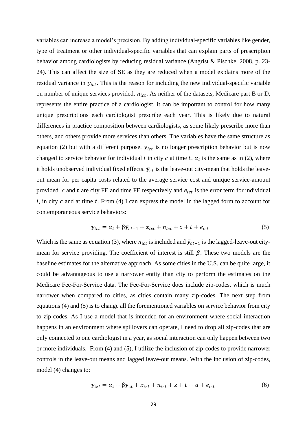variables can increase a model's precision. By adding individual-specific variables like gender, type of treatment or other individual-specific variables that can explain parts of prescription behavior among cardiologists by reducing residual variance (Angrist & Pischke, 2008, p. 23- 24). This can affect the size of SE as they are reduced when a model explains more of the residual variance in  $y_{ict}$ . This is the reason for including the new individual-specific variable on number of unique services provided,  $n_{ict}$ . As neither of the datasets, Medicare part B or D, represents the entire practice of a cardiologist, it can be important to control for how many unique prescriptions each cardiologist prescribe each year. This is likely due to natural differences in practice composition between cardiologists, as some likely prescribe more than others, and others provide more services than others. The variables have the same structure as equation (2) but with a different purpose.  $y_{ict}$  is no longer prescription behavior but is now changed to service behavior for individual *i* in city *c* at time *t*.  $\alpha_i$  is the same as in (2), where it holds unobserved individual fixed effects.  $\bar{y}_{ct}$  is the leave-out city-mean that holds the leaveout mean for per capita costs related to the average service cost and unique service-amount provided.  $c$  and  $t$  are city FE and time FE respectively and  $e_{ict}$  is the error term for individual  $i$ , in city  $c$  and at time  $t$ . From (4) I can express the model in the lagged form to account for contemporaneous service behaviors:

$$
y_{ict} = \alpha_i + \beta \bar{y}_{ct-1} + x_{ict} + n_{ict} + c + t + e_{ict}
$$
 (5)

Which is the same as equation (3), where  $n_{ict}$  is included and  $\bar{y}_{ct-1}$  is the lagged-leave-out citymean for service providing. The coefficient of interest is still  $\beta$ . These two models are the baseline estimates for the alternative approach. As some cities in the U.S. can be quite large, it could be advantageous to use a narrower entity than city to perform the estimates on the Medicare Fee-For-Service data. The Fee-For-Service does include zip-codes, which is much narrower when compared to cities, as cities contain many zip-codes. The next step from equations (4) and (5) is to change all the forementioned variables on service behavior from city to zip-codes. As I use a model that is intended for an environment where social interaction happens in an environment where spillovers can operate, I need to drop all zip-codes that are only connected to one cardiologist in a year, as social interaction can only happen between two or more individuals. From (4) and (5), I utilize the inclusion of zip-codes to provide narrower controls in the leave-out means and lagged leave-out means. With the inclusion of zip-codes, model (4) changes to:

$$
y_{izt} = \alpha_i + \beta \bar{y}_{zt} + x_{izt} + n_{izt} + z + t + g + e_{izt}
$$
 (6)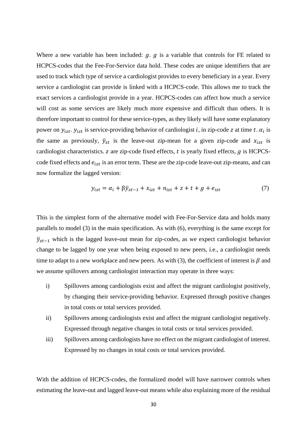Where a new variable has been included:  $q_i$ .  $q_j$  is a variable that controls for FE related to HCPCS-codes that the Fee-For-Service data hold. These codes are unique identifiers that are used to track which type of service a cardiologist provides to every beneficiary in a year. Every service a cardiologist can provide is linked with a HCPCS-code. This allows me to track the exact services a cardiologist provide in a year. HCPCS-codes can affect how much a service will cost as some services are likely much more expensive and difficult than others. It is therefore important to control for these service-types, as they likely will have some explanatory power on  $y_{izt}$ .  $y_{izt}$  is service-providing behavior of cardiologist *i*, in zip-code *z* at time *t*.  $\alpha_i$  is the same as previously,  $\bar{y}_{zt}$  is the leave-out zip-mean for a given zip-code and  $x_{izt}$  is cardiologist characteristics.  $z$  are zip-code fixed effects,  $t$  is yearly fixed effects,  $g$  is HCPCScode fixed effects and  $e_{izt}$  is an error term. These are the zip-code leave-out zip-means, and can now formalize the lagged version:

$$
y_{izt} = \alpha_i + \beta \overline{y}_{zt-1} + x_{izt} + n_{izt} + z + t + g + e_{izt}
$$
 (7)

This is the simplest form of the alternative model with Fee-For-Service data and holds many parallels to model (3) in the main specification. As with (6), everything is the same except for  $\bar{y}_{zt-1}$  which is the lagged leave-out mean for zip-codes, as we expect cardiologist behavior change to be lagged by one year when being exposed to new peers, i.e., a cardiologist needs time to adapt to a new workplace and new peers. As with (3), the coefficient of interest is  $\beta$  and we assume spillovers among cardiologist interaction may operate in three ways:

- i) Spillovers among cardiologists exist and affect the migrant cardiologist positively, by changing their service-providing behavior. Expressed through positive changes in total costs or total services provided.
- ii) Spillovers among cardiologists exist and affect the migrant cardiologist negatively. Expressed through negative changes in total costs or total services provided.
- iii) Spillovers among cardiologists have no effect on the migrant cardiologist of interest. Expressed by no changes in total costs or total services provided.

With the addition of HCPCS-codes, the formalized model will have narrower controls when estimating the leave-out and lagged leave-out means while also explaining more of the residual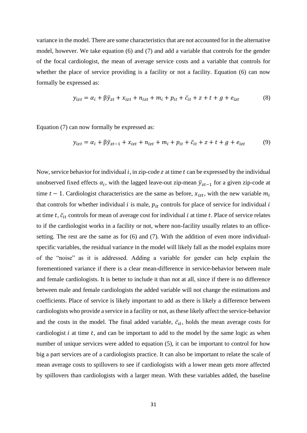variance in the model. There are some characteristics that are not accounted for in the alternative model, however. We take equation (6) and (7) and add a variable that controls for the gender of the focal cardiologist, the mean of average service costs and a variable that controls for whether the place of service providing is a facility or not a facility. Equation (6) can now formally be expressed as:

$$
y_{izt} = \alpha_i + \beta \bar{y}_{zt} + x_{izt} + n_{izt} + m_i + p_{it} + \bar{c}_{it} + z + t + g + e_{izt}
$$
(8)

Equation (7) can now formally be expressed as:

$$
y_{izt} = \alpha_i + \beta \bar{y}_{zt-1} + x_{izt} + n_{izt} + m_i + p_{it} + \bar{c}_{it} + z + t + g + e_{izt}
$$
(9)

Now, service behavior for individual  $i$ , in zip-code  $z$  at time  $t$  can be expressed by the individual unobserved fixed effects  $\alpha_i$ , with the lagged leave-out zip-mean  $\bar{y}_{zt-1}$  for a given zip-code at time  $t - 1$ . Cardiologist characteristics are the same as before,  $x_{izt}$ , with the new variable  $m_i$ that controls for whether individual  $i$  is male,  $p_{it}$  controls for place of service for individual  $i$ at time t,  $\bar{c}_{it}$  controls for mean of average cost for individual i at time t. Place of service relates to if the cardiologist works in a facility or not, where non-facility usually relates to an officesetting. The rest are the same as for (6) and (7). With the addition of even more individualspecific variables, the residual variance in the model will likely fall as the model explains more of the "noise" as it is addressed. Adding a variable for gender can help explain the forementioned variance if there is a clear mean-difference in service-behavior between male and female cardiologists. It is better to include it than not at all, since if there is no difference between male and female cardiologists the added variable will not change the estimations and coefficients. Place of service is likely important to add as there is likely a difference between cardiologists who provide a service in a facility or not, as these likely affect the service-behavior and the costs in the model. The final added variable,  $\bar{c}_{it}$ , holds the mean average costs for cardiologist  $i$  at time  $t$ , and can be important to add to the model by the same logic as when number of unique services were added to equation (5), it can be important to control for how big a part services are of a cardiologists practice. It can also be important to relate the scale of mean average costs to spillovers to see if cardiologists with a lower mean gets more affected by spillovers than cardiologists with a larger mean. With these variables added, the baseline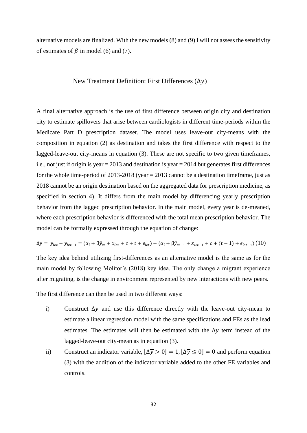alternative models are finalized. With the new models (8) and (9) I will not assess the sensitivity of estimates of  $\beta$  in model (6) and (7).

#### New Treatment Definition: First Differences  $(\Delta y)$

A final alternative approach is the use of first difference between origin city and destination city to estimate spillovers that arise between cardiologists in different time-periods within the Medicare Part D prescription dataset. The model uses leave-out city-means with the composition in equation (2) as destination and takes the first difference with respect to the lagged-leave-out city-means in equation (3). These are not specific to two given timeframes, i.e., not just if origin is year  $= 2013$  and destination is year  $= 2014$  but generates first differences for the whole time-period of 2013-2018 (year  $= 2013$  cannot be a destination timeframe, just as 2018 cannot be an origin destination based on the aggregated data for prescription medicine, as specified in section 4). It differs from the main model by differencing yearly prescription behavior from the lagged prescription behavior. In the main model, every year is de-meaned, where each prescription behavior is differenced with the total mean prescription behavior. The model can be formally expressed through the equation of change:

$$
\Delta y = y_{ict} - y_{ict-1} = (\alpha_i + \beta \bar{y}_{ct} + x_{ict} + c + t + e_{ict}) - (\alpha_i + \beta \bar{y}_{ct-1} + x_{ict-1} + c + (t - 1) + e_{ict-1})
$$
(10)

The key idea behind utilizing first-differences as an alternative model is the same as for the main model by following Molitor's (2018) key idea. The only change a migrant experience after migrating, is the change in environment represented by new interactions with new peers.

The first difference can then be used in two different ways:

- i) Construct  $\Delta y$  and use this difference directly with the leave-out city-mean to estimate a linear regression model with the same specifications and FEs as the lead estimates. The estimates will then be estimated with the  $\Delta y$  term instead of the lagged-leave-out city-mean as in equation (3).
- ii) Construct an indicator variable,  $[\Delta \overline{y} > 0] = 1$ ,  $[\Delta \overline{y} \le 0] = 0$  and perform equation (3) with the addition of the indicator variable added to the other FE variables and controls.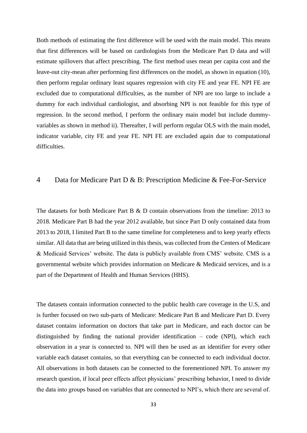Both methods of estimating the first difference will be used with the main model. This means that first differences will be based on cardiologists from the Medicare Part D data and will estimate spillovers that affect prescribing. The first method uses mean per capita cost and the leave-out city-mean after performing first differences on the model, as shown in equation (10), then perform regular ordinary least squares regression with city FE and year FE. NPI FE are excluded due to computational difficulties, as the number of NPI are too large to include a dummy for each individual cardiologist, and absorbing NPI is not feasible for this type of regression. In the second method, I perform the ordinary main model but include dummyvariables as shown in method ii). Thereafter, I will perform regular OLS with the main model, indicator variable, city FE and year FE. NPI FE are excluded again due to computational difficulties.

## 4 Data for Medicare Part D & B: Prescription Medicine & Fee-For-Service

The datasets for both Medicare Part B & D contain observations from the timeline: 2013 to 2018. Medicare Part B had the year 2012 available, but since Part D only contained data from 2013 to 2018, I limited Part B to the same timeline for completeness and to keep yearly effects similar. All data that are being utilized in this thesis, was collected from the Centers of Medicare & Medicaid Services' website. The data is publicly available from CMS' website. CMS is a governmental website which provides information on Medicare & Medicaid services, and is a part of the Department of Health and Human Services (HHS).

The datasets contain information connected to the public health care coverage in the U.S, and is further focused on two sub-parts of Medicare: Medicare Part B and Medicare Part D. Every dataset contains information on doctors that take part in Medicare, and each doctor can be distinguished by finding the national provider identification – code (NPI), which each observation in a year is connected to. NPI will then be used as an identifier for every other variable each dataset contains, so that everything can be connected to each individual doctor. All observations in both datasets can be connected to the forementioned NPI. To answer my research question, if local peer effects affect physicians' prescribing behavior, I need to divide the data into groups based on variables that are connected to NPI's, which there are several of.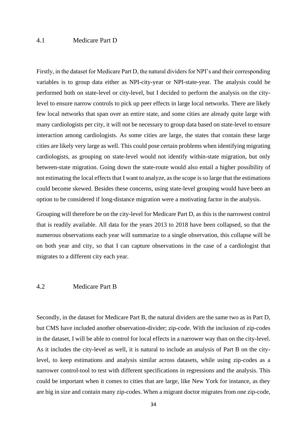#### 4.1 Medicare Part D

Firstly, in the dataset for Medicare Part D, the natural dividers for NPI's and their corresponding variables is to group data either as NPI-city-year or NPI-state-year. The analysis could be performed both on state-level or city-level, but I decided to perform the analysis on the citylevel to ensure narrow controls to pick up peer effects in large local networks. There are likely few local networks that span over an entire state, and some cities are already quite large with many cardiologists per city, it will not be necessary to group data based on state-level to ensure interaction among cardiologists. As some cities are large, the states that contain these large cities are likely very large as well. This could pose certain problems when identifying migrating cardiologists, as grouping on state-level would not identify within-state migration, but only between-state migration. Going down the state-route would also entail a higher possibility of not estimating the local effects that I want to analyze, as the scope is so large that the estimations could become skewed. Besides these concerns, using state-level grouping would have been an option to be considered if long-distance migration were a motivating factor in the analysis.

Grouping will therefore be on the city-level for Medicare Part D, as this is the narrowest control that is readily available. All data for the years 2013 to 2018 have been collapsed, so that the numerous observations each year will summarize to a single observation, this collapse will be on both year and city, so that I can capture observations in the case of a cardiologist that migrates to a different city each year.

#### 4.2 Medicare Part B

Secondly, in the dataset for Medicare Part B, the natural dividers are the same two as in Part D, but CMS have included another observation-divider; zip-code. With the inclusion of zip-codes in the dataset, I will be able to control for local effects in a narrower way than on the city-level. As it includes the city-level as well, it is natural to include an analysis of Part B on the citylevel, to keep estimations and analysis similar across datasets, while using zip-codes as a narrower control-tool to test with different specifications in regressions and the analysis. This could be important when it comes to cities that are large, like New York for instance, as they are big in size and contain many zip-codes. When a migrant doctor migrates from one zip-code,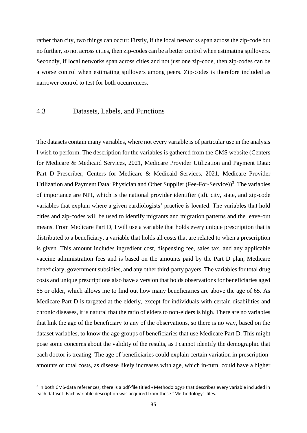rather than city, two things can occur: Firstly, if the local networks span across the zip-code but no further, so not across cities, then zip-codes can be a better control when estimating spillovers. Secondly, if local networks span across cities and not just one zip-code, then zip-codes can be a worse control when estimating spillovers among peers. Zip-codes is therefore included as narrower control to test for both occurrences.

## 4.3 Datasets, Labels, and Functions

The datasets contain many variables, where not every variable is of particular use in the analysis I wish to perform. The description for the variables is gathered from the CMS website (Centers for Medicare & Medicaid Services, 2021, Medicare Provider Utilization and Payment Data: Part D Prescriber; Centers for Medicare & Medicaid Services, 2021, Medicare Provider Utilization and Payment Data: Physician and Other Supplier (Fee-For-Service))<sup>3</sup>. The variables of importance are NPI, which is the national provider identifier (id). city, state, and zip-code variables that explain where a given cardiologists' practice is located. The variables that hold cities and zip-codes will be used to identify migrants and migration patterns and the leave-out means. From Medicare Part D, I will use a variable that holds every unique prescription that is distributed to a beneficiary, a variable that holds all costs that are related to when a prescription is given. This amount includes ingredient cost, dispensing fee, sales tax, and any applicable vaccine administration fees and is based on the amounts paid by the Part D plan, Medicare beneficiary, government subsidies, and any other third-party payers. The variables for total drug costs and unique prescriptions also have a version that holds observations for beneficiaries aged 65 or older, which allows me to find out how many beneficiaries are above the age of 65. As Medicare Part D is targeted at the elderly, except for individuals with certain disabilities and chronic diseases, it is natural that the ratio of elders to non-elders is high. There are no variables that link the age of the beneficiary to any of the observations, so there is no way, based on the dataset variables, to know the age groups of beneficiaries that use Medicare Part D. This might pose some concerns about the validity of the results, as I cannot identify the demographic that each doctor is treating. The age of beneficiaries could explain certain variation in prescriptionamounts or total costs, as disease likely increases with age, which in-turn, could have a higher

<sup>&</sup>lt;sup>3</sup> In both CMS-data references, there is a pdf-file titled «Methodology» that describes every variable included in each dataset. Each variable description was acquired from these "Methodology"-files.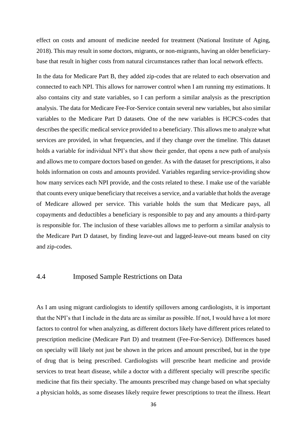effect on costs and amount of medicine needed for treatment (National Institute of Aging, 2018). This may result in some doctors, migrants, or non-migrants, having an older beneficiarybase that result in higher costs from natural circumstances rather than local network effects.

In the data for Medicare Part B, they added zip-codes that are related to each observation and connected to each NPI. This allows for narrower control when I am running my estimations. It also contains city and state variables, so I can perform a similar analysis as the prescription analysis. The data for Medicare Fee-For-Service contain several new variables, but also similar variables to the Medicare Part D datasets. One of the new variables is HCPCS-codes that describes the specific medical service provided to a beneficiary. This allows me to analyze what services are provided, in what frequencies, and if they change over the timeline. This dataset holds a variable for individual NPI's that show their gender, that opens a new path of analysis and allows me to compare doctors based on gender. As with the dataset for prescriptions, it also holds information on costs and amounts provided. Variables regarding service-providing show how many services each NPI provide, and the costs related to these. I make use of the variable that counts every unique beneficiary that receives a service, and a variable that holds the average of Medicare allowed per service. This variable holds the sum that Medicare pays, all copayments and deductibles a beneficiary is responsible to pay and any amounts a third-party is responsible for. The inclusion of these variables allows me to perform a similar analysis to the Medicare Part D dataset, by finding leave-out and lagged-leave-out means based on city and zip-codes.

#### 4.4 Imposed Sample Restrictions on Data

As I am using migrant cardiologists to identify spillovers among cardiologists, it is important that the NPI's that I include in the data are as similar as possible. If not, I would have a lot more factors to control for when analyzing, as different doctors likely have different prices related to prescription medicine (Medicare Part D) and treatment (Fee-For-Service). Differences based on specialty will likely not just be shown in the prices and amount prescribed, but in the type of drug that is being prescribed. Cardiologists will prescribe heart medicine and provide services to treat heart disease, while a doctor with a different specialty will prescribe specific medicine that fits their specialty. The amounts prescribed may change based on what specialty a physician holds, as some diseases likely require fewer prescriptions to treat the illness. Heart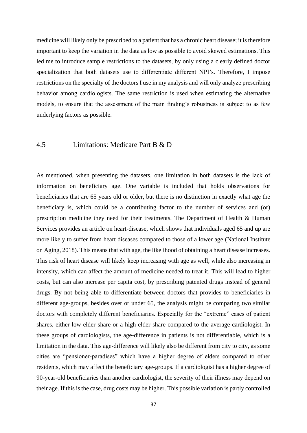medicine will likely only be prescribed to a patient that has a chronic heart disease; it is therefore important to keep the variation in the data as low as possible to avoid skewed estimations. This led me to introduce sample restrictions to the datasets, by only using a clearly defined doctor specialization that both datasets use to differentiate different NPI's. Therefore, I impose restrictions on the specialty of the doctors I use in my analysis and will only analyze prescribing behavior among cardiologists. The same restriction is used when estimating the alternative models, to ensure that the assessment of the main finding's robustness is subject to as few underlying factors as possible.

## 4.5 Limitations: Medicare Part B & D

As mentioned, when presenting the datasets, one limitation in both datasets is the lack of information on beneficiary age. One variable is included that holds observations for beneficiaries that are 65 years old or older, but there is no distinction in exactly what age the beneficiary is, which could be a contributing factor to the number of services and (or) prescription medicine they need for their treatments. The Department of Health & Human Services provides an article on heart-disease, which shows that individuals aged 65 and up are more likely to suffer from heart diseases compared to those of a lower age (National Institute on Aging, 2018). This means that with age, the likelihood of obtaining a heart disease increases. This risk of heart disease will likely keep increasing with age as well, while also increasing in intensity, which can affect the amount of medicine needed to treat it. This will lead to higher costs, but can also increase per capita cost, by prescribing patented drugs instead of general drugs. By not being able to differentiate between doctors that provides to beneficiaries in different age-groups, besides over or under 65, the analysis might be comparing two similar doctors with completely different beneficiaries. Especially for the "extreme" cases of patient shares, either low elder share or a high elder share compared to the average cardiologist. In these groups of cardiologists, the age-difference in patients is not differentiable, which is a limitation in the data. This age-difference will likely also be different from city to city, as some cities are "pensioner-paradises" which have a higher degree of elders compared to other residents, which may affect the beneficiary age-groups. If a cardiologist has a higher degree of 90-year-old beneficiaries than another cardiologist, the severity of their illness may depend on their age. If this is the case, drug costs may be higher. This possible variation is partly controlled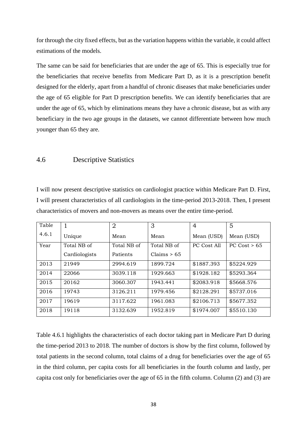for through the city fixed effects, but as the variation happens within the variable, it could affect estimations of the models.

The same can be said for beneficiaries that are under the age of 65. This is especially true for the beneficiaries that receive benefits from Medicare Part D, as it is a prescription benefit designed for the elderly, apart from a handful of chronic diseases that make beneficiaries under the age of 65 eligible for Part D prescription benefits. We can identify beneficiaries that are under the age of 65, which by eliminations means they have a chronic disease, but as with any beneficiary in the two age groups in the datasets, we cannot differentiate between how much younger than 65 they are.

#### 4.6 Descriptive Statistics

I will now present descriptive statistics on cardiologist practice within Medicare Part D. First, I will present characteristics of all cardiologists in the time-period 2013-2018. Then, I present characteristics of movers and non-movers as means over the entire time-period.

| Table |               | $\overline{2}$ | 3           | 4           | 5                |
|-------|---------------|----------------|-------------|-------------|------------------|
| 4.6.1 | Unique        | Mean           | Mean        | Mean (USD)  | Mean (USD)       |
| Year  | Total NB of   | Total NB of    | Total NB of | PC Cost All | $PC$ Cost $> 65$ |
|       | Cardiologists | Patients       | Claims > 65 |             |                  |
| 2013  | 21949         | 2994.619       | 1899.724    | \$1887.393  | \$5224.929       |
| 2014  | 22066         | 3039.118       | 1929.663    | \$1928.182  | \$5293.364       |
| 2015  | 20162         | 3060.307       | 1943.441    | \$2083.918  | \$5668.576       |
| 2016  | 19743         | 3126.211       | 1979.456    | \$2128.291  | \$5737.016       |
| 2017  | 19619         | 3117.622       | 1961.083    | \$2106.713  | \$5677.352       |
| 2018  | 19118         | 3132.639       | 1952.819    | \$1974.007  | \$5510.130       |

Table 4.6.1 highlights the characteristics of each doctor taking part in Medicare Part D during the time-period 2013 to 2018. The number of doctors is show by the first column, followed by total patients in the second column, total claims of a drug for beneficiaries over the age of 65 in the third column, per capita costs for all beneficiaries in the fourth column and lastly, per capita cost only for beneficiaries over the age of 65 in the fifth column. Column (2) and (3) are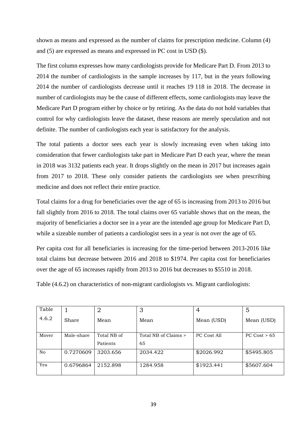shown as means and expressed as the number of claims for prescription medicine. Column (4) and (5) are expressed as means and expressed in PC cost in USD (\$).

The first column expresses how many cardiologists provide for Medicare Part D. From 2013 to 2014 the number of cardiologists in the sample increases by 117, but in the years following 2014 the number of cardiologists decrease until it reaches 19 118 in 2018. The decrease in number of cardiologists may be the cause of different effects, some cardiologists may leave the Medicare Part D program either by choice or by retiring. As the data do not hold variables that control for why cardiologists leave the dataset, these reasons are merely speculation and not definite. The number of cardiologists each year is satisfactory for the analysis.

The total patients a doctor sees each year is slowly increasing even when taking into consideration that fewer cardiologists take part in Medicare Part D each year, where the mean in 2018 was 3132 patients each year. It drops slightly on the mean in 2017 but increases again from 2017 to 2018. These only consider patients the cardiologists see when prescribing medicine and does not reflect their entire practice.

Total claims for a drug for beneficiaries over the age of 65 is increasing from 2013 to 2016 but fall slightly from 2016 to 2018. The total claims over 65 variable shows that on the mean, the majority of beneficiaries a doctor see in a year are the intended age group for Medicare Part D, while a sizeable number of patients a cardiologist sees in a year is not over the age of 65.

Per capita cost for all beneficiaries is increasing for the time-period between 2013-2016 like total claims but decrease between 2016 and 2018 to \$1974. Per capita cost for beneficiaries over the age of 65 increases rapidly from 2013 to 2016 but decreases to \$5510 in 2018.

Table (4.6.2) on characteristics of non-migrant cardiologists vs. Migrant cardiologists:

| Table          |            | 2                       | 3                          | 4           | 5            |
|----------------|------------|-------------------------|----------------------------|-------------|--------------|
| 4.6.2          | Share      | Mean                    | Mean                       | Mean (USD)  | Mean (USD)   |
| Mover          | Male-share | Total NB of<br>Patients | Total NB of Claims ><br>65 | PC Cost All | PC Cost > 65 |
| N <sub>o</sub> | 0.7270609  | 3203.656                | 2034.422                   | \$2026.992  | \$5495.805   |
| Yes            | 0.6796864  | 2152.898                | 1284.958                   | \$1923.441  | \$5607.604   |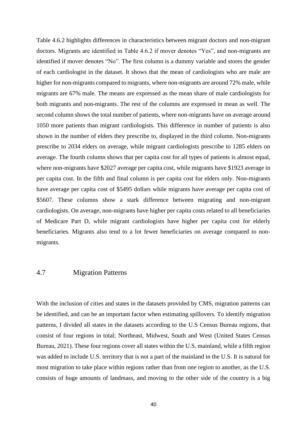Table 4.6.2 highlights differences in characteristics between migrant doctors and non-migrant doctors. Migrants are identified in Table 4.6.2 if mover denotes "Yes", and non-migrants are identified if mover denotes "No". The first column is a dummy variable and stores the gender of each cardiologist in the dataset. It shows that the mean of cardiologists who are male are higher for non-migrants compared to migrants, where non-migrants are around 72% male, while migrants are 67% male. The means are expressed as the mean share of male cardiologists for both migrants and non-migrants. The rest of the columns are expressed in mean as well. The second column shows the total number of patients, where non-migrants have on average around 1050 more patients than migrant cardiologists. This difference in number of patients is also shown in the number of elders they prescribe to, displayed in the third column. Non-migrants prescribe to 2034 elders on average, while migrant cardiologists prescribe to 1285 elders on average. The fourth column shows that per capita cost for all types of patients is almost equal, where non-migrants have \$2027 average per capita cost, while migrants have \$1923 average in per capita cost. In the fifth and final column is per capita cost for elders only. Non-migrants have average per capita cost of \$5495 dollars while migrants have average per capita cost of \$5607. These columns show a stark difference between migrating and non-migrant cardiologists. On average, non-migrants have higher per capita costs related to all beneficiaries of Medicare Part D, while migrant cardiologists have higher per capita cost for elderly beneficiaries. Migrants also tend to a lot fewer beneficiaries on average compared to nonmigrants.

#### 4.7 Migration Patterns

With the inclusion of cities and states in the datasets provided by CMS, migration patterns can be identified, and can be an important factor when estimating spillovers. To identify migration patterns, I divided all states in the datasets according to the U.S Census Bureau regions, that consist of four regions in total; Northeast, Midwest, South and West (United States Census Bureau, 2021). These four regions cover all states within the U.S. mainland, while a fifth region was added to include U.S. territory that is not a part of the mainland in the U.S. It is natural for most migration to take place within regions rather than from one region to another, as the U.S. consists of huge amounts of landmass, and moving to the other side of the country is a big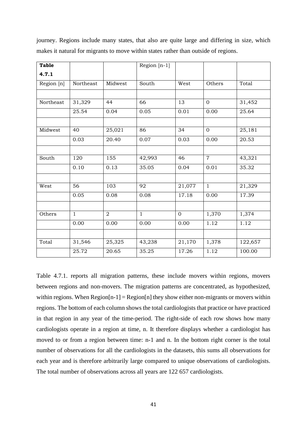| <b>Table</b> |              |                | Region $[n-1]$ |              |                |         |
|--------------|--------------|----------------|----------------|--------------|----------------|---------|
| 4.7.1        |              |                |                |              |                |         |
| Region [n]   | Northeast    | Midwest        | South          | West         | Others         | Total   |
|              |              |                |                |              |                |         |
| Northeast    | 31,329       | 44             | 66             | 13           | $\mathbf{0}$   | 31,452  |
|              | 25.54        | 0.04           | 0.05           | 0.01         | 0.00           | 25.64   |
|              |              |                |                |              |                |         |
| Midwest      | 40           | 25,021         | 86             | 34           | $\mathbf{0}$   | 25,181  |
|              | 0.03         | 20.40          | 0.07           | 0.03         | 0.00           | 20.53   |
|              |              |                |                |              |                |         |
| South        | 120          | 155            | 42,993         | 46           | $\overline{7}$ | 43,321  |
|              | 0.10         | 0.13           | 35.05          | 0.04         | 0.01           | 35.32   |
|              |              |                |                |              |                |         |
| West         | 56           | 103            | 92             | 21,077       | $\mathbf{1}$   | 21,329  |
|              | 0.05         | 0.08           | 0.08           | 17.18        | 0.00           | 17.39   |
|              |              |                |                |              |                |         |
| Others       | $\mathbf{1}$ | $\overline{2}$ | $\mathbf{1}$   | $\mathbf{0}$ | 1,370          | 1,374   |
|              | 0.00         | 0.00           | 0.00           | 0.00         | 1.12           | 1.12    |
|              |              |                |                |              |                |         |
| Total        | 31,546       | 25,325         | 43,238         | 21,170       | 1,378          | 122,657 |
|              | 25.72        | 20.65          | 35.25          | 17.26        | 1.12           | 100.00  |

journey. Regions include many states, that also are quite large and differing in size, which makes it natural for migrants to move within states rather than outside of regions.

Table 4.7.1. reports all migration patterns, these include movers within regions, movers between regions and non-movers. The migration patterns are concentrated, as hypothesized, within regions. When  $Region[n-1] = Region[n]$  they show either non-migrants or movers within regions. The bottom of each column shows the total cardiologists that practice or have practiced in that region in any year of the time-period. The right-side of each row shows how many cardiologists operate in a region at time, n. It therefore displays whether a cardiologist has moved to or from a region between time: n-1 and n. In the bottom right corner is the total number of observations for all the cardiologists in the datasets, this sums all observations for each year and is therefore arbitrarily large compared to unique observations of cardiologists. The total number of observations across all years are 122 657 cardiologists.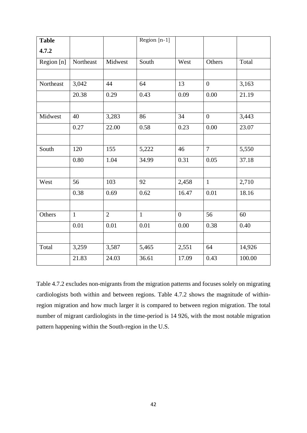| <b>Table</b> |              |                | Region [n-1] |                |                |        |
|--------------|--------------|----------------|--------------|----------------|----------------|--------|
| 4.7.2        |              |                |              |                |                |        |
| Region [n]   | Northeast    | Midwest        | South        | West           | Others         | Total  |
|              |              |                |              |                |                |        |
| Northeast    | 3,042        | 44             | 64           | 13             | $\overline{0}$ | 3,163  |
|              | 20.38        | 0.29           | 0.43         | 0.09           | 0.00           | 21.19  |
|              |              |                |              |                |                |        |
| Midwest      | 40           | 3,283          | 86           | 34             | $\overline{0}$ | 3,443  |
|              | 0.27         | 22.00          | 0.58         | 0.23           | 0.00           | 23.07  |
|              |              |                |              |                |                |        |
| South        | 120          | 155            | 5,222        | 46             | $\overline{7}$ | 5,550  |
|              | 0.80         | 1.04           | 34.99        | 0.31           | 0.05           | 37.18  |
|              |              |                |              |                |                |        |
| West         | 56           | 103            | 92           | 2,458          | $\mathbf{1}$   | 2,710  |
|              | 0.38         | 0.69           | 0.62         | 16.47          | 0.01           | 18.16  |
|              |              |                |              |                |                |        |
| Others       | $\mathbf{1}$ | $\overline{2}$ | $\mathbf{1}$ | $\overline{0}$ | 56             | 60     |
|              | 0.01         | $0.01\,$       | 0.01         | 0.00           | 0.38           | 0.40   |
|              |              |                |              |                |                |        |
| Total        | 3,259        | 3,587          | 5,465        | 2,551          | 64             | 14,926 |
|              | 21.83        | 24.03          | 36.61        | 17.09          | 0.43           | 100.00 |

Table 4.7.2 excludes non-migrants from the migration patterns and focuses solely on migrating cardiologists both within and between regions. Table 4.7.2 shows the magnitude of withinregion migration and how much larger it is compared to between region migration. The total number of migrant cardiologists in the time-period is 14 926, with the most notable migration pattern happening within the South-region in the U.S.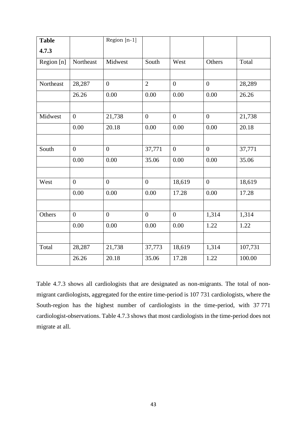| <b>Table</b> |                  | Region [n-1]     |                  |                |                  |         |
|--------------|------------------|------------------|------------------|----------------|------------------|---------|
| 4.7.3        |                  |                  |                  |                |                  |         |
| Region [n]   | Northeast        | Midwest          | South            | West           | Others           | Total   |
|              |                  |                  |                  |                |                  |         |
| Northeast    | 28,287           | $\overline{0}$   | $\overline{2}$   | $\overline{0}$ | $\overline{0}$   | 28,289  |
|              | 26.26            | 0.00             | 0.00             | 0.00           | 0.00             | 26.26   |
|              |                  |                  |                  |                |                  |         |
| Midwest      | $\boldsymbol{0}$ | 21,738           | $\overline{0}$   | $\overline{0}$ | $\overline{0}$   | 21,738  |
|              | 0.00             | 20.18            | 0.00             | 0.00           | 0.00             | 20.18   |
|              |                  |                  |                  |                |                  |         |
| South        | $\overline{0}$   | $\overline{0}$   | 37,771           | $\overline{0}$ | $\overline{0}$   | 37,771  |
|              | 0.00             | 0.00             | 35.06            | $0.00\,$       | 0.00             | 35.06   |
|              |                  |                  |                  |                |                  |         |
| West         | $\boldsymbol{0}$ | $\boldsymbol{0}$ | $\boldsymbol{0}$ | 18,619         | $\boldsymbol{0}$ | 18,619  |
|              | 0.00             | 0.00             | 0.00             | 17.28          | 0.00             | 17.28   |
|              |                  |                  |                  |                |                  |         |
| Others       | $\overline{0}$   | $\overline{0}$   | $\overline{0}$   | $\mathbf{0}$   | 1,314            | 1,314   |
|              | 0.00             | 0.00             | 0.00             | $0.00\,$       | 1.22             | 1.22    |
|              |                  |                  |                  |                |                  |         |
| Total        | 28,287           | 21,738           | 37,773           | 18,619         | 1,314            | 107,731 |
|              | 26.26            | 20.18            | 35.06            | 17.28          | 1.22             | 100.00  |

Table 4.7.3 shows all cardiologists that are designated as non-migrants. The total of nonmigrant cardiologists, aggregated for the entire time-period is 107 731 cardiologists, where the South-region has the highest number of cardiologists in the time-period, with 37 771 cardiologist-observations. Table 4.7.3 shows that most cardiologists in the time-period does not migrate at all.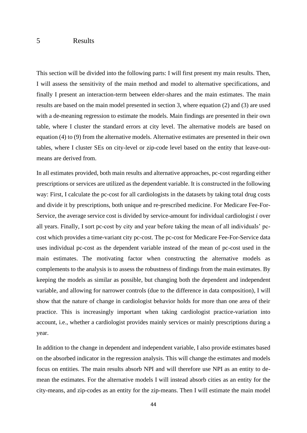#### 5 Results

This section will be divided into the following parts: I will first present my main results. Then, I will assess the sensitivity of the main method and model to alternative specifications, and finally I present an interaction-term between elder-shares and the main estimates. The main results are based on the main model presented in section 3, where equation (2) and (3) are used with a de-meaning regression to estimate the models. Main findings are presented in their own table, where I cluster the standard errors at city level. The alternative models are based on equation (4) to (9) from the alternative models. Alternative estimates are presented in their own tables, where I cluster SEs on city-level or zip-code level based on the entity that leave-outmeans are derived from.

In all estimates provided, both main results and alternative approaches, pc-cost regarding either prescriptions or services are utilized as the dependent variable. It is constructed in the following way: First, I calculate the pc-cost for all cardiologists in the datasets by taking total drug costs and divide it by prescriptions, both unique and re-prescribed medicine. For Medicare Fee-For-Service, the average service cost is divided by service-amount for individual cardiologist *i* over all years. Finally, I sort pc-cost by city and year before taking the mean of all individuals' pccost which provides a time-variant city pc-cost. The pc-cost for Medicare Fee-For-Service data uses individual pc-cost as the dependent variable instead of the mean of pc-cost used in the main estimates. The motivating factor when constructing the alternative models as complements to the analysis is to assess the robustness of findings from the main estimates. By keeping the models as similar as possible, but changing both the dependent and independent variable, and allowing for narrower controls (due to the difference in data composition), I will show that the nature of change in cardiologist behavior holds for more than one area of their practice. This is increasingly important when taking cardiologist practice-variation into account, i.e., whether a cardiologist provides mainly services or mainly prescriptions during a year.

In addition to the change in dependent and independent variable, I also provide estimates based on the absorbed indicator in the regression analysis. This will change the estimates and models focus on entities. The main results absorb NPI and will therefore use NPI as an entity to demean the estimates. For the alternative models I will instead absorb cities as an entity for the city-means, and zip-codes as an entity for the zip-means. Then I will estimate the main model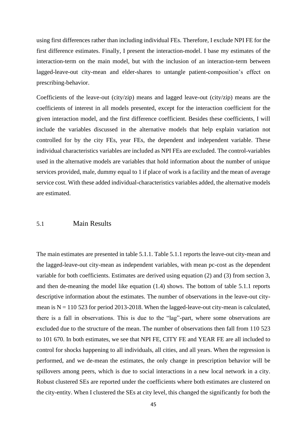using first differences rather than including individual FEs. Therefore, I exclude NPI FE for the first difference estimates. Finally, I present the interaction-model. I base my estimates of the interaction-term on the main model, but with the inclusion of an interaction-term between lagged-leave-out city-mean and elder-shares to untangle patient-composition's effect on prescribing-behavior.

Coefficients of the leave-out (city/zip) means and lagged leave-out (city/zip) means are the coefficients of interest in all models presented, except for the interaction coefficient for the given interaction model, and the first difference coefficient. Besides these coefficients, I will include the variables discussed in the alternative models that help explain variation not controlled for by the city FEs, year FEs, the dependent and independent variable. These individual characteristics variables are included as NPI FEs are excluded. The control-variables used in the alternative models are variables that hold information about the number of unique services provided, male, dummy equal to 1 if place of work is a facility and the mean of average service cost. With these added individual-characteristics variables added, the alternative models are estimated.

#### 5.1 Main Results

The main estimates are presented in table 5.1.1. Table 5.1.1 reports the leave-out city-mean and the lagged-leave-out city-mean as independent variables, with mean pc-cost as the dependent variable for both coefficients. Estimates are derived using equation (2) and (3) from section 3, and then de-meaning the model like equation (1.4) shows. The bottom of table 5.1.1 reports descriptive information about the estimates. The number of observations in the leave-out citymean is  $N = 110$  523 for period 2013-2018. When the lagged-leave-out city-mean is calculated, there is a fall in observations. This is due to the "lag"-part, where some observations are excluded due to the structure of the mean. The number of observations then fall from 110 523 to 101 670. In both estimates, we see that NPI FE, CITY FE and YEAR FE are all included to control for shocks happening to all individuals, all cities, and all years. When the regression is performed, and we de-mean the estimates, the only change in prescription behavior will be spillovers among peers, which is due to social interactions in a new local network in a city. Robust clustered SEs are reported under the coefficients where both estimates are clustered on the city-entity. When I clustered the SEs at city level, this changed the significantly for both the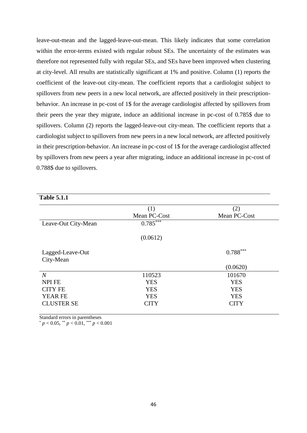leave-out-mean and the lagged-leave-out-mean. This likely indicates that some correlation within the error-terms existed with regular robust SEs. The uncertainty of the estimates was therefore not represented fully with regular SEs, and SEs have been improved when clustering at city-level. All results are statistically significant at 1% and positive. Column (1) reports the coefficient of the leave-out city-mean. The coefficient reports that a cardiologist subject to spillovers from new peers in a new local network, are affected positively in their prescriptionbehavior. An increase in pc-cost of 1\$ for the average cardiologist affected by spillovers from their peers the year they migrate, induce an additional increase in pc-cost of 0.785\$ due to spillovers. Column (2) reports the lagged-leave-out city-mean. The coefficient reports that a cardiologist subject to spillovers from new peers in a new local network, are affected positively in their prescription-behavior. An increase in pc-cost of 1\$ for the average cardiologist affected by spillovers from new peers a year after migrating, induce an additional increase in pc-cost of 0.788\$ due to spillovers.

|                     | (1)          | (2)          |
|---------------------|--------------|--------------|
|                     | Mean PC-Cost | Mean PC-Cost |
| Leave-Out City-Mean | $0.785***$   |              |
|                     | (0.0612)     |              |
| Lagged-Leave-Out    |              | $0.788***$   |
| City-Mean           |              |              |
|                     |              | (0.0620)     |
| $\mathcal N$        | 110523       | 101670       |
| <b>NPI FE</b>       | <b>YES</b>   | <b>YES</b>   |
| <b>CITY FE</b>      | <b>YES</b>   | <b>YES</b>   |
| <b>YEAR FE</b>      | <b>YES</b>   | <b>YES</b>   |
| <b>CLUSTER SE</b>   | <b>CITY</b>  | <b>CITY</b>  |

Standard errors in parentheses

 $p < 0.05$ , \*\*  $p < 0.01$ , \*\*\*  $p < 0.001$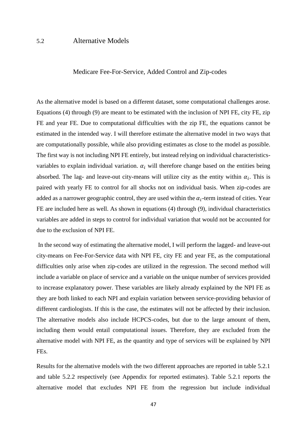## 5.2 Alternative Models

#### Medicare Fee-For-Service, Added Control and Zip-codes

As the alternative model is based on a different dataset, some computational challenges arose. Equations (4) through (9) are meant to be estimated with the inclusion of NPI FE, city FE, zip FE and year FE. Due to computational difficulties with the zip FE, the equations cannot be estimated in the intended way. I will therefore estimate the alternative model in two ways that are computationally possible, while also providing estimates as close to the model as possible. The first way is not including NPI FE entirely, but instead relying on individual characteristicsvariables to explain individual variation.  $\alpha_i$  will therefore change based on the entities being absorbed. The lag- and leave-out city-means will utilize city as the entity within  $\alpha_i$ . This is paired with yearly FE to control for all shocks not on individual basis. When zip-codes are added as a narrower geographic control, they are used within the  $\alpha_i$ -term instead of cities. Year FE are included here as well. As shown in equations (4) through (9), individual characteristics variables are added in steps to control for individual variation that would not be accounted for due to the exclusion of NPI FE.

In the second way of estimating the alternative model, I will perform the lagged- and leave-out city-means on Fee-For-Service data with NPI FE, city FE and year FE, as the computational difficulties only arise when zip-codes are utilized in the regression. The second method will include a variable on place of service and a variable on the unique number of services provided to increase explanatory power. These variables are likely already explained by the NPI FE as they are both linked to each NPI and explain variation between service-providing behavior of different cardiologists. If this is the case, the estimates will not be affected by their inclusion. The alternative models also include HCPCS-codes, but due to the large amount of them, including them would entail computational issues. Therefore, they are excluded from the alternative model with NPI FE, as the quantity and type of services will be explained by NPI FEs.

Results for the alternative models with the two different approaches are reported in table 5.2.1 and table 5.2.2 respectively (see Appendix for reported estimates). Table 5.2.1 reports the alternative model that excludes NPI FE from the regression but include individual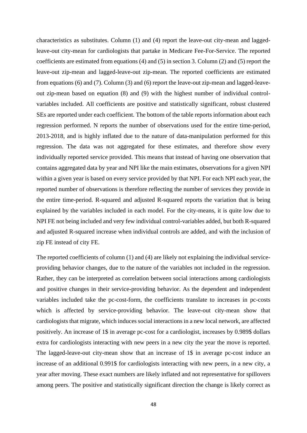characteristics as substitutes. Column (1) and (4) report the leave-out city-mean and laggedleave-out city-mean for cardiologists that partake in Medicare Fee-For-Service. The reported coefficients are estimated from equations (4) and (5) in section 3. Column (2) and (5) report the leave-out zip-mean and lagged-leave-out zip-mean. The reported coefficients are estimated from equations (6) and (7). Column (3) and (6) report the leave-out zip-mean and lagged-leaveout zip-mean based on equation (8) and (9) with the highest number of individual controlvariables included. All coefficients are positive and statistically significant, robust clustered SEs are reported under each coefficient. The bottom of the table reports information about each regression performed. N reports the number of observations used for the entire time-period, 2013-2018, and is highly inflated due to the nature of data-manipulation performed for this regression. The data was not aggregated for these estimates, and therefore show every individually reported service provided. This means that instead of having one observation that contains aggregated data by year and NPI like the main estimates, observations for a given NPI within a given year is based on every service provided by that NPI. For each NPI each year, the reported number of observations is therefore reflecting the number of services they provide in the entire time-period. R-squared and adjusted R-squared reports the variation that is being explained by the variables included in each model. For the city-means, it is quite low due to NPI FE not being included and very few individual control-variables added, but both R-squared and adjusted R-squared increase when individual controls are added, and with the inclusion of zip FE instead of city FE.

The reported coefficients of column (1) and (4) are likely not explaining the individual serviceproviding behavior changes, due to the nature of the variables not included in the regression. Rather, they can be interpreted as correlation between social interactions among cardiologists and positive changes in their service-providing behavior. As the dependent and independent variables included take the pc-cost-form, the coefficients translate to increases in pc-costs which is affected by service-providing behavior. The leave-out city-mean show that cardiologists that migrate, which induces social interactions in a new local network, are affected positively. An increase of 1\$ in average pc-cost for a cardiologist, increases by 0.989\$ dollars extra for cardiologists interacting with new peers in a new city the year the move is reported. The lagged-leave-out city-mean show that an increase of 1\$ in average pc-cost induce an increase of an additional 0.991\$ for cardiologists interacting with new peers, in a new city, a year after moving. These exact numbers are likely inflated and not representative for spillovers among peers. The positive and statistically significant direction the change is likely correct as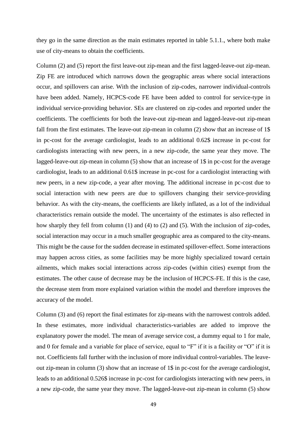they go in the same direction as the main estimates reported in table 5.1.1., where both make use of city-means to obtain the coefficients.

Column (2) and (5) report the first leave-out zip-mean and the first lagged-leave-out zip-mean. Zip FE are introduced which narrows down the geographic areas where social interactions occur, and spillovers can arise. With the inclusion of zip-codes, narrower individual-controls have been added. Namely, HCPCS-code FE have been added to control for service-type in individual service-providing behavior. SEs are clustered on zip-codes and reported under the coefficients. The coefficients for both the leave-out zip-mean and lagged-leave-out zip-mean fall from the first estimates. The leave-out zip-mean in column (2) show that an increase of 1\$ in pc-cost for the average cardiologist, leads to an additional 0.62\$ increase in pc-cost for cardiologists interacting with new peers, in a new zip-code, the same year they move. The lagged-leave-out zip-mean in column (5) show that an increase of 1\$ in pc-cost for the average cardiologist, leads to an additional 0.61\$ increase in pc-cost for a cardiologist interacting with new peers, in a new zip-code, a year after moving. The additional increase in pc-cost due to social interaction with new peers are due to spillovers changing their service-providing behavior. As with the city-means, the coefficients are likely inflated, as a lot of the individual characteristics remain outside the model. The uncertainty of the estimates is also reflected in how sharply they fell from column (1) and (4) to (2) and (5). With the inclusion of zip-codes, social interaction may occur in a much smaller geographic area as compared to the city-means. This might be the cause for the sudden decrease in estimated spillover-effect. Some interactions may happen across cities, as some facilities may be more highly specialized toward certain ailments, which makes social interactions across zip-codes (within cities) exempt from the estimates. The other cause of decrease may be the inclusion of HCPCS-FE. If this is the case, the decrease stem from more explained variation within the model and therefore improves the accuracy of the model.

Column (3) and (6) report the final estimates for zip-means with the narrowest controls added. In these estimates, more individual characteristics-variables are added to improve the explanatory power the model. The mean of average service cost, a dummy equal to 1 for male, and 0 for female and a variable for place of service, equal to "F" if it is a facility or "O" if it is not. Coefficients fall further with the inclusion of more individual control-variables. The leaveout zip-mean in column (3) show that an increase of 1\$ in pc-cost for the average cardiologist, leads to an additional 0.526\$ increase in pc-cost for cardiologists interacting with new peers, in a new zip-code, the same year they move. The lagged-leave-out zip-mean in column (5) show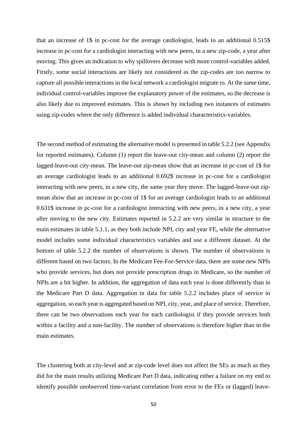that an increase of 1\$ in pc-cost for the average cardiologist, leads to an additional 0.515\$ increase in pc-cost for a cardiologist interacting with new peers, in a new zip-code, a year after moving. This gives an indication to why spillovers decrease with more control-variables added. Firstly, some social interactions are likely not considered as the zip-codes are too narrow to capture all possible interactions in the local network a cardiologist migrate to. At the same time, individual control-variables improve the explanatory power of the estimates, so the decrease is also likely due to improved estimates. This is shown by including two instances of estimates using zip-codes where the only difference is added individual characteristics-variables.

The second method of estimating the alternative model is presented in table 5.2.2 (see Appendix for reported estimates). Column (1) report the leave-out city-mean and column (2) report the lagged-leave-out city-mean. The leave-out zip-mean show that an increase in pc-cost of 1\$ for an average cardiologist leads to an additional 0.692\$ increase in pc-cost for a cardiologist interacting with new peers, in a new city, the same year they move. The lagged-leave-out zipmean show that an increase in pc-cost of 1\$ for an average cardiologist leads to an additional 0.631\$ increase in pc-cost for a cardiologist interacting with new peers, in a new city, a year after moving to the new city. Estimates reported in 5.2.2 are very similar in structure to the main estimates in table 5.1.1, as they both include NPI, city and year FE, while the alternative model includes some individual characteristics variables and use a different dataset. At the bottom of table 5.2.2 the number of observations is shown. The number of observations is different based on two factors. In the Medicare Fee-For-Service data, there are some new NPIs who provide services, but does not provide prescription drugs in Medicare, so the number of NPIs are a bit higher. In addition, the aggregation of data each year is done differently than in the Medicare Part D data. Aggregation in data for table 5.2.2 includes place of service in aggregation, so each year is aggregated based on NPI, city, year, and place of service. Therefore, there can be two observations each year for each cardiologist if they provide services both within a facility and a non-facility. The number of observations is therefore higher than in the main estimates.

The clustering both at city-level and at zip-code level does not affect the SEs as much as they did for the main results utilizing Medicare Part D data, indicating either a failure on my end to identify possible unobserved time-variant correlation from error to the FEs or (lagged) leave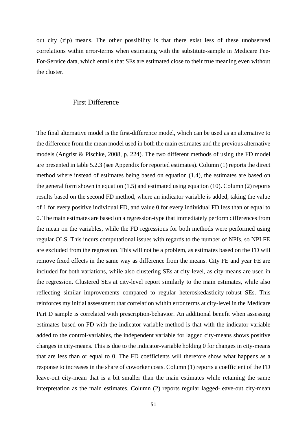out city (zip) means. The other possibility is that there exist less of these unobserved correlations within error-terms when estimating with the substitute-sample in Medicare Fee-For-Service data, which entails that SEs are estimated close to their true meaning even without the cluster.

## First Difference

The final alternative model is the first-difference model, which can be used as an alternative to the difference from the mean model used in both the main estimates and the previous alternative models (Angrist & Pischke, 2008, p. 224). The two different methods of using the FD model are presented in table 5.2.3 (see Appendix for reported estimates). Column (1) reports the direct method where instead of estimates being based on equation (1.4), the estimates are based on the general form shown in equation (1.5) and estimated using equation (10). Column (2) reports results based on the second FD method, where an indicator variable is added, taking the value of 1 for every positive individual FD, and value 0 for every individual FD less than or equal to 0. The main estimates are based on a regression-type that immediately perform differences from the mean on the variables, while the FD regressions for both methods were performed using regular OLS. This incurs computational issues with regards to the number of NPIs, so NPI FE are excluded from the regression. This will not be a problem, as estimates based on the FD will remove fixed effects in the same way as difference from the means. City FE and year FE are included for both variations, while also clustering SEs at city-level, as city-means are used in the regression. Clustered SEs at city-level report similarly to the main estimates, while also reflecting similar improvements compared to regular heteroskedasticity-robust SEs. This reinforces my initial assessment that correlation within error terms at city-level in the Medicare Part D sample is correlated with prescription-behavior. An additional benefit when assessing estimates based on FD with the indicator-variable method is that with the indicator-variable added to the control-variables, the independent variable for lagged city-means shows positive changes in city-means. This is due to the indicator-variable holding 0 for changes in city-means that are less than or equal to 0. The FD coefficients will therefore show what happens as a response to increases in the share of coworker costs. Column (1) reports a coefficient of the FD leave-out city-mean that is a bit smaller than the main estimates while retaining the same interpretation as the main estimates. Column (2) reports regular lagged-leave-out city-mean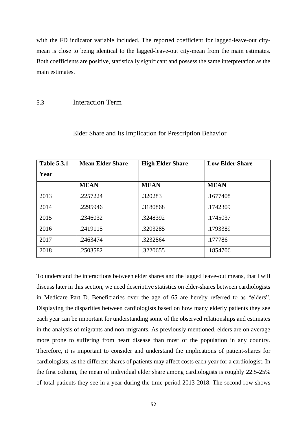with the FD indicator variable included. The reported coefficient for lagged-leave-out citymean is close to being identical to the lagged-leave-out city-mean from the main estimates. Both coefficients are positive, statistically significant and possess the same interpretation as the main estimates.

## 5.3 Interaction Term

| <b>Table 5.3.1</b> | <b>Mean Elder Share</b> | <b>High Elder Share</b> | <b>Low Elder Share</b> |
|--------------------|-------------------------|-------------------------|------------------------|
| Year               |                         |                         |                        |
|                    | <b>MEAN</b>             | <b>MEAN</b>             | <b>MEAN</b>            |
| 2013               | .2257224                | .320283                 | .1677408               |
| 2014               | .2295946                | .3180868                | .1742309               |
| 2015               | .2346032                | .3248392                | .1745037               |
| 2016               | .2419115                | .3203285                | .1793389               |
| 2017               | .2463474                | .3232864                | .177786                |
| 2018               | .2503582                | .3220655                | .1854706               |

#### Elder Share and Its Implication for Prescription Behavior

To understand the interactions between elder shares and the lagged leave-out means, that I will discuss later in this section, we need descriptive statistics on elder-shares between cardiologists in Medicare Part D. Beneficiaries over the age of 65 are hereby referred to as "elders". Displaying the disparities between cardiologists based on how many elderly patients they see each year can be important for understanding some of the observed relationships and estimates in the analysis of migrants and non-migrants. As previously mentioned, elders are on average more prone to suffering from heart disease than most of the population in any country. Therefore, it is important to consider and understand the implications of patient-shares for cardiologists, as the different shares of patients may affect costs each year for a cardiologist. In the first column, the mean of individual elder share among cardiologists is roughly 22.5-25% of total patients they see in a year during the time-period 2013-2018. The second row shows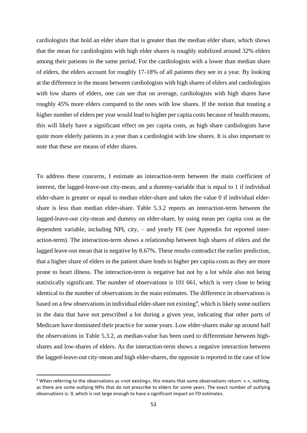cardiologists that hold an elder share that is greater than the median elder share, which shows that the mean for cardiologists with high elder shares is roughly stabilized around 32% elders among their patients in the same period. For the cardiologists with a lower than median share of elders, the elders account for roughly 17-18% of all patients they see in a year. By looking at the difference in the means between cardiologists with high shares of elders and cardiologists with low shares of elders, one can see that on average, cardiologists with high shares have roughly 45% more elders compared to the ones with low shares. If the notion that treating a higher number of elders per year would lead to higher per capita costs because of health reasons, this will likely have a significant effect on per capita costs, as high share cardiologists have quite more elderly patients in a year than a cardiologist with low shares. It is also important to note that these are means of elder shares.

To address these concerns, I estimate an interaction-term between the main coefficient of interest, the lagged-leave-out city-mean, and a dummy-variable that is equal to 1 if individual elder-share is greater or equal to median elder-share and takes the value 0 if individual eldershare is less than median elder-share. Table 5.3.2 reports an interaction-term between the lagged-leave-out city-mean and dummy on elder-share, by using mean per capita cost as the dependent variable, including NPI, city, – and yearly FE (see Appendix for reported interaction-term). The interaction-term shows a relationship between high shares of elders and the lagged leave-out mean that is negative by 8.67%. These results contradict the earlier prediction, that a higher share of elders in the patient share leads to higher per capita costs as they are more prone to heart illness. The interaction-term is negative but not by a lot while also not being statistically significant. The number of observations is 101 661, which is very close to being identical to the number of observations in the main estimates. The difference in observations is based on a few observations in individual elder-share not existing<sup>4</sup>, which is likely some outliers in the data that have not prescribed a lot during a given year, indicating that other parts of Medicare have dominated their practice for some years. Low elder-shares make up around half the observations in Table 5.3.2, as median-value has been used to differentiate between highshares and low-shares of elders. As the interaction-term shows a negative interaction between the lagged-leave-out city-mean and high elder-shares, the opposite is reported in the case of low

<sup>4</sup> When referring to the observations as «not existing», this means that some observations return: «.», nothing, as there are some outlying NPIs that do not prescribe to elders for some years. The exact number of outlying observations is: 9, which is not large enough to have a significant impact on FD estimates.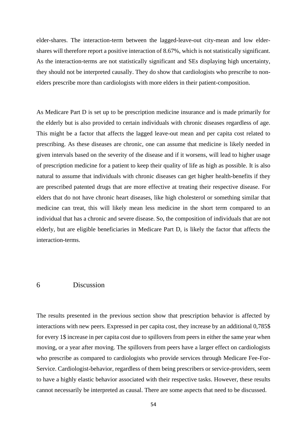elder-shares. The interaction-term between the lagged-leave-out city-mean and low eldershares will therefore report a positive interaction of 8.67%, which is not statistically significant. As the interaction-terms are not statistically significant and SEs displaying high uncertainty, they should not be interpreted causally. They do show that cardiologists who prescribe to nonelders prescribe more than cardiologists with more elders in their patient-composition.

As Medicare Part D is set up to be prescription medicine insurance and is made primarily for the elderly but is also provided to certain individuals with chronic diseases regardless of age. This might be a factor that affects the lagged leave-out mean and per capita cost related to prescribing. As these diseases are chronic, one can assume that medicine is likely needed in given intervals based on the severity of the disease and if it worsens, will lead to higher usage of prescription medicine for a patient to keep their quality of life as high as possible. It is also natural to assume that individuals with chronic diseases can get higher health-benefits if they are prescribed patented drugs that are more effective at treating their respective disease. For elders that do not have chronic heart diseases, like high cholesterol or something similar that medicine can treat, this will likely mean less medicine in the short term compared to an individual that has a chronic and severe disease. So, the composition of individuals that are not elderly, but are eligible beneficiaries in Medicare Part D, is likely the factor that affects the interaction-terms.

## 6 Discussion

The results presented in the previous section show that prescription behavior is affected by interactions with new peers. Expressed in per capita cost, they increase by an additional 0,785\$ for every 1\$ increase in per capita cost due to spillovers from peers in either the same year when moving, or a year after moving. The spillovers from peers have a larger effect on cardiologists who prescribe as compared to cardiologists who provide services through Medicare Fee-For-Service. Cardiologist-behavior, regardless of them being prescribers or service-providers, seem to have a highly elastic behavior associated with their respective tasks. However, these results cannot necessarily be interpreted as causal. There are some aspects that need to be discussed.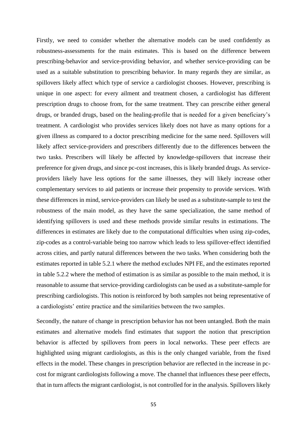Firstly, we need to consider whether the alternative models can be used confidently as robustness-assessments for the main estimates. This is based on the difference between prescribing-behavior and service-providing behavior, and whether service-providing can be used as a suitable substitution to prescribing behavior. In many regards they are similar, as spillovers likely affect which type of service a cardiologist chooses. However, prescribing is unique in one aspect: for every ailment and treatment chosen, a cardiologist has different prescription drugs to choose from, for the same treatment. They can prescribe either general drugs, or branded drugs, based on the healing-profile that is needed for a given beneficiary's treatment. A cardiologist who provides services likely does not have as many options for a given illness as compared to a doctor prescribing medicine for the same need. Spillovers will likely affect service-providers and prescribers differently due to the differences between the two tasks. Prescribers will likely be affected by knowledge-spillovers that increase their preference for given drugs, and since pc-cost increases, this is likely branded drugs. As serviceproviders likely have less options for the same illnesses, they will likely increase other complementary services to aid patients or increase their propensity to provide services. With these differences in mind, service-providers can likely be used as a substitute-sample to test the robustness of the main model, as they have the same specialization, the same method of identifying spillovers is used and these methods provide similar results in estimations. The differences in estimates are likely due to the computational difficulties when using zip-codes, zip-codes as a control-variable being too narrow which leads to less spillover-effect identified across cities, and partly natural differences between the two tasks. When considering both the estimates reported in table 5.2.1 where the method excludes NPI FE, and the estimates reported in table 5.2.2 where the method of estimation is as similar as possible to the main method, it is reasonable to assume that service-providing cardiologists can be used as a substitute-sample for prescribing cardiologists. This notion is reinforced by both samples not being representative of a cardiologists' entire practice and the similarities between the two samples.

Secondly, the nature of change in prescription behavior has not been untangled. Both the main estimates and alternative models find estimates that support the notion that prescription behavior is affected by spillovers from peers in local networks. These peer effects are highlighted using migrant cardiologists, as this is the only changed variable, from the fixed effects in the model. These changes in prescription behavior are reflected in the increase in pccost for migrant cardiologists following a move. The channel that influences these peer effects, that in turn affects the migrant cardiologist, is not controlled for in the analysis. Spillovers likely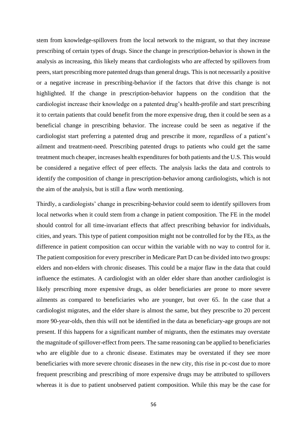stem from knowledge-spillovers from the local network to the migrant, so that they increase prescribing of certain types of drugs. Since the change in prescription-behavior is shown in the analysis as increasing, this likely means that cardiologists who are affected by spillovers from peers, start prescribing more patented drugs than general drugs. This is not necessarily a positive or a negative increase in prescribing-behavior if the factors that drive this change is not highlighted. If the change in prescription-behavior happens on the condition that the cardiologist increase their knowledge on a patented drug's health-profile and start prescribing it to certain patients that could benefit from the more expensive drug, then it could be seen as a beneficial change in prescribing behavior. The increase could be seen as negative if the cardiologist start preferring a patented drug and prescribe it more, regardless of a patient's ailment and treatment-need. Prescribing patented drugs to patients who could get the same treatment much cheaper, increases health expenditures for both patients and the U.S. This would be considered a negative effect of peer effects. The analysis lacks the data and controls to identify the composition of change in prescription-behavior among cardiologists, which is not the aim of the analysis, but is still a flaw worth mentioning.

Thirdly, a cardiologists' change in prescribing-behavior could seem to identify spillovers from local networks when it could stem from a change in patient composition. The FE in the model should control for all time-invariant effects that affect prescribing behavior for individuals, cities, and years. This type of patient composition might not be controlled for by the FEs, as the difference in patient composition can occur within the variable with no way to control for it. The patient composition for every prescriber in Medicare Part D can be divided into two groups: elders and non-elders with chronic diseases. This could be a major flaw in the data that could influence the estimates. A cardiologist with an older elder share than another cardiologist is likely prescribing more expensive drugs, as older beneficiaries are prone to more severe ailments as compared to beneficiaries who are younger, but over 65. In the case that a cardiologist migrates, and the elder share is almost the same, but they prescribe to 20 percent more 90-year-olds, then this will not be identified in the data as beneficiary-age groups are not present. If this happens for a significant number of migrants, then the estimates may overstate the magnitude of spillover-effect from peers. The same reasoning can be applied to beneficiaries who are eligible due to a chronic disease. Estimates may be overstated if they see more beneficiaries with more severe chronic diseases in the new city, this rise in pc-cost due to more frequent prescribing and prescribing of more expensive drugs may be attributed to spillovers whereas it is due to patient unobserved patient composition. While this may be the case for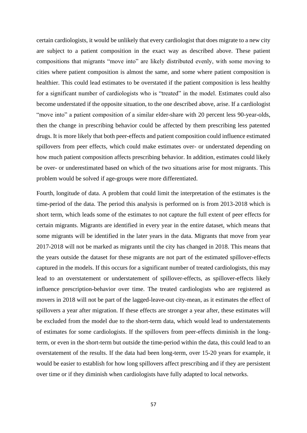certain cardiologists, it would be unlikely that every cardiologist that does migrate to a new city are subject to a patient composition in the exact way as described above. These patient compositions that migrants "move into" are likely distributed evenly, with some moving to cities where patient composition is almost the same, and some where patient composition is healthier. This could lead estimates to be overstated if the patient composition is less healthy for a significant number of cardiologists who is "treated" in the model. Estimates could also become understated if the opposite situation, to the one described above, arise. If a cardiologist "move into" a patient composition of a similar elder-share with 20 percent less 90-year-olds, then the change in prescribing behavior could be affected by them prescribing less patented drugs. It is more likely that both peer-effects and patient composition could influence estimated spillovers from peer effects, which could make estimates over- or understated depending on how much patient composition affects prescribing behavior. In addition, estimates could likely be over- or underestimated based on which of the two situations arise for most migrants. This problem would be solved if age-groups were more differentiated.

Fourth, longitude of data. A problem that could limit the interpretation of the estimates is the time-period of the data. The period this analysis is performed on is from 2013-2018 which is short term, which leads some of the estimates to not capture the full extent of peer effects for certain migrants. Migrants are identified in every year in the entire dataset, which means that some migrants will be identified in the later years in the data. Migrants that move from year 2017-2018 will not be marked as migrants until the city has changed in 2018. This means that the years outside the dataset for these migrants are not part of the estimated spillover-effects captured in the models. If this occurs for a significant number of treated cardiologists, this may lead to an overstatement or understatement of spillover-effects, as spillover-effects likely influence prescription-behavior over time. The treated cardiologists who are registered as movers in 2018 will not be part of the lagged-leave-out city-mean, as it estimates the effect of spillovers a year after migration. If these effects are stronger a year after, these estimates will be excluded from the model due to the short-term data, which would lead to understatements of estimates for some cardiologists. If the spillovers from peer-effects diminish in the longterm, or even in the short-term but outside the time-period within the data, this could lead to an overstatement of the results. If the data had been long-term, over 15-20 years for example, it would be easier to establish for how long spillovers affect prescribing and if they are persistent over time or if they diminish when cardiologists have fully adapted to local networks.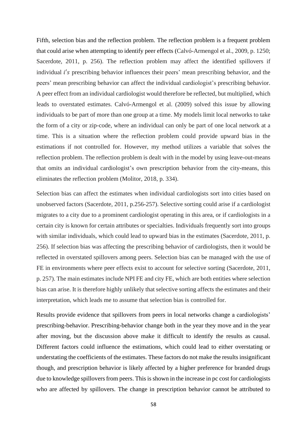Fifth, selection bias and the reflection problem. The reflection problem is a frequent problem that could arise when attempting to identify peer effects (Calvó-Armengol et al., 2009, p. 1250; Sacerdote, 2011, p. 256). The reflection problem may affect the identified spillovers if individual i's prescribing behavior influences their peers' mean prescribing behavior, and the peers' mean prescribing behavior can affect the individual cardiologist's prescribing behavior. A peer effect from an individual cardiologist would therefore be reflected, but multiplied, which leads to overstated estimates. Calvó-Armengol et al. (2009) solved this issue by allowing individuals to be part of more than one group at a time. My models limit local networks to take the form of a city or zip-code, where an individual can only be part of one local network at a time. This is a situation where the reflection problem could provide upward bias in the estimations if not controlled for. However, my method utilizes a variable that solves the reflection problem. The reflection problem is dealt with in the model by using leave-out-means that omits an individual cardiologist's own prescription behavior from the city-means, this eliminates the reflection problem (Molitor, 2018, p. 334).

Selection bias can affect the estimates when individual cardiologists sort into cities based on unobserved factors (Sacerdote, 2011, p.256-257). Selective sorting could arise if a cardiologist migrates to a city due to a prominent cardiologist operating in this area, or if cardiologists in a certain city is known for certain attributes or specialties. Individuals frequently sort into groups with similar individuals, which could lead to upward bias in the estimates (Sacerdote, 2011, p. 256). If selection bias was affecting the prescribing behavior of cardiologists, then it would be reflected in overstated spillovers among peers. Selection bias can be managed with the use of FE in environments where peer effects exist to account for selective sorting (Sacerdote, 2011, p. 257). The main estimates include NPI FE and city FE, which are both entities where selection bias can arise. It is therefore highly unlikely that selective sorting affects the estimates and their interpretation, which leads me to assume that selection bias is controlled for.

Results provide evidence that spillovers from peers in local networks change a cardiologists' prescribing-behavior. Prescribing-behavior change both in the year they move and in the year after moving, but the discussion above make it difficult to identify the results as causal. Different factors could influence the estimations, which could lead to either overstating or understating the coefficients of the estimates. These factors do not make the results insignificant though, and prescription behavior is likely affected by a higher preference for branded drugs due to knowledge spillovers from peers. This is shown in the increase in pc cost for cardiologists who are affected by spillovers. The change in prescription behavior cannot be attributed to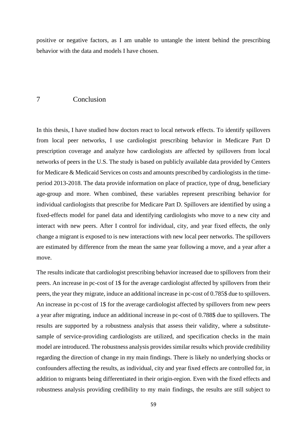positive or negative factors, as I am unable to untangle the intent behind the prescribing behavior with the data and models I have chosen.

## 7 Conclusion

In this thesis, I have studied how doctors react to local network effects. To identify spillovers from local peer networks, I use cardiologist prescribing behavior in Medicare Part D prescription coverage and analyze how cardiologists are affected by spillovers from local networks of peers in the U.S. The study is based on publicly available data provided by Centers for Medicare & Medicaid Services on costs and amounts prescribed by cardiologists in the timeperiod 2013-2018. The data provide information on place of practice, type of drug, beneficiary age-group and more. When combined, these variables represent prescribing behavior for individual cardiologists that prescribe for Medicare Part D. Spillovers are identified by using a fixed-effects model for panel data and identifying cardiologists who move to a new city and interact with new peers. After I control for individual, city, and year fixed effects, the only change a migrant is exposed to is new interactions with new local peer networks. The spillovers are estimated by difference from the mean the same year following a move, and a year after a move.

The results indicate that cardiologist prescribing behavior increased due to spillovers from their peers. An increase in pc-cost of 1\$ for the average cardiologist affected by spillovers from their peers, the year they migrate, induce an additional increase in pc-cost of 0.785\$ due to spillovers. An increase in pc-cost of 1\$ for the average cardiologist affected by spillovers from new peers a year after migrating, induce an additional increase in pc-cost of 0.788\$ due to spillovers. The results are supported by a robustness analysis that assess their validity, where a substitutesample of service-providing cardiologists are utilized, and specification checks in the main model are introduced. The robustness analysis provides similar results which provide credibility regarding the direction of change in my main findings. There is likely no underlying shocks or confounders affecting the results, as individual, city and year fixed effects are controlled for, in addition to migrants being differentiated in their origin-region. Even with the fixed effects and robustness analysis providing credibility to my main findings, the results are still subject to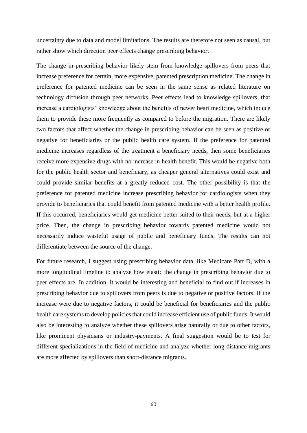uncertainty due to data and model limitations. The results are therefore not seen as causal, but rather show which direction peer effects change prescribing behavior.

The change in prescribing behavior likely stem from knowledge spillovers from peers that increase preference for certain, more expensive, patented prescription medicine. The change in preference for patented medicine can be seen in the same sense as related literature on technology diffusion through peer networks. Peer effects lead to knowledge spillovers, that increase a cardiologists' knowledge about the benefits of newer heart medicine, which induce them to provide these more frequently as compared to before the migration. There are likely two factors that affect whether the change in prescribing behavior can be seen as positive or negative for beneficiaries or the public health care system. If the preference for patented medicine increases regardless of the treatment a beneficiary needs, then some beneficiaries receive more expensive drugs with no increase in health benefit. This would be negative both for the public health sector and beneficiary, as cheaper general alternatives could exist and could provide similar benefits at a greatly reduced cost. The other possibility is that the preference for patented medicine increase prescribing behavior for cardiologists when they provide to beneficiaries that could benefit from patented medicine with a better health profile. If this occurred, beneficiaries would get medicine better suited to their needs, but at a higher price. Then, the change in prescribing behavior towards patented medicine would not necessarily induce wasteful usage of public and beneficiary funds. The results can not differentiate between the source of the change.

For future research, I suggest using prescribing behavior data, like Medicare Part D, with a more longitudinal timeline to analyze how elastic the change in prescribing behavior due to peer effects are. In addition, it would be interesting and beneficial to find out if increases in prescribing behavior due to spillovers from peers is due to negative or positive factors. If the increase were due to negative factors, it could be beneficial for beneficiaries and the public health care systems to develop policies that could increase efficient use of public funds. It would also be interesting to analyze whether these spillovers arise naturally or due to other factors, like prominent physicians or industry-payments. A final suggestion would be to test for different specializations in the field of medicine and analyze whether long-distance migrants are more affected by spillovers than short-distance migrants.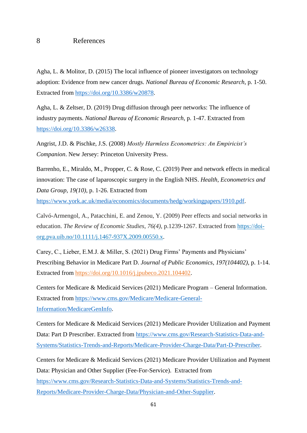## 8 References

Agha, L. & Molitor, D. (2015) The local influence of pioneer investigators on technology adoption: Evidence from new cancer drugs. *National Bureau of Economic Research*, p. 1-50. Extracted from [https://doi.org/10.3386/w20878.](https://doi.org/10.3386/w20878)

Agha, L. & Zeltser, D. (2019) Drug diffusion through peer networks: The influence of industry payments. *National Bureau of Economic Research*, p. 1-47. Extracted from [https://doi.org/10.3386/w26338.](https://doi.org/10.3386/w26338)

Angrist, J.D. & Pischke, J.S. (2008) *Mostly Harmless Econometrics: An Empiricist's Companion*. New Jersey: Princeton University Press.

Barrenho, E., Miraldo, M., Propper, C. & Rose, C. (2019) Peer and network effects in medical innovation: The case of laparoscopic surgery in the English NHS. *Health, Econometrics and Data Group, 19(10)*, p. 1-26. Extracted from

[https://www.york.ac.uk/media/economics/documents/hedg/workingpapers/1910.pdf.](https://www.york.ac.uk/media/economics/documents/hedg/workingpapers/1910.pdf)

Calvó-Armengol, A., Patacchini, E. and Zenou, Y. (2009) Peer effects and social networks in education. *The Review of Economic Studies*, *76(4)*, p.1239-1267. Extracted from [https://doi](https://doi-org.pva.uib.no/10.1111/j.1467-937X.2009.00550.x)[org.pva.uib.no/10.1111/j.1467-937X.2009.00550.x.](https://doi-org.pva.uib.no/10.1111/j.1467-937X.2009.00550.x)

Carey, C., Lieber, E.M.J. & Miller, S. (2021) Drug Firms' Payments and Physicians' Prescribing Behavior in Medicare Part D. *Journal of Public Economics, 197(104402)*, p. 1-14. Extracted from [https://doi.org/10.1016/j.jpubeco.2021.104402.](https://doi-org.pva.uib.no/10.1016/j.jpubeco.2021.104402)

Centers for Medicare & Medicaid Services (2021) Medicare Program – General Information. Extracted from [https://www.cms.gov/Medicare/Medicare-General-](https://www.cms.gov/Medicare/Medicare-General-Information/MedicareGenInfo)[Information/MedicareGenInfo.](https://www.cms.gov/Medicare/Medicare-General-Information/MedicareGenInfo)

Centers for Medicare & Medicaid Services (2021) Medicare Provider Utilization and Payment Data: Part D Prescriber. Extracted from [https://www.cms.gov/Research-Statistics-Data-and-](https://www.cms.gov/Research-Statistics-Data-and-Systems/Statistics-Trends-and-Reports/Medicare-Provider-Charge-Data/Part-D-Prescriber)[Systems/Statistics-Trends-and-Reports/Medicare-Provider-Charge-Data/Part-D-Prescriber.](https://www.cms.gov/Research-Statistics-Data-and-Systems/Statistics-Trends-and-Reports/Medicare-Provider-Charge-Data/Part-D-Prescriber)

Centers for Medicare & Medicaid Services (2021) Medicare Provider Utilization and Payment Data: Physician and Other Supplier (Fee-For-Service). Extracted from [https://www.cms.gov/Research-Statistics-Data-and-Systems/Statistics-Trends-and-](https://www.cms.gov/Research-Statistics-Data-and-Systems/Statistics-Trends-and-Reports/Medicare-Provider-Charge-Data/Physician-and-Other-Supplier)[Reports/Medicare-Provider-Charge-Data/Physician-and-Other-Supplier.](https://www.cms.gov/Research-Statistics-Data-and-Systems/Statistics-Trends-and-Reports/Medicare-Provider-Charge-Data/Physician-and-Other-Supplier)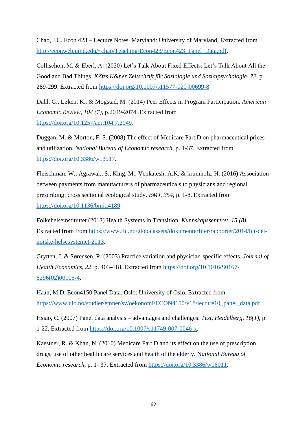Chao, J.C. Econ 423 – Lecture Notes. Maryland: University of Maryland. Extracted from [http://econweb.umd.edu/~chao/Teaching/Econ423/Econ423\\_Panel\\_Data.pdf.](http://econweb.umd.edu/~chao/Teaching/Econ423/Econ423_Panel_Data.pdf)

Collischon, M. & Eberl, A. (2020) Let's Talk About Fixed Effects: Let's Talk About All the Good and Bad Things. *KZfss Kölner Zeitschrift für Soziologie und Sozialpsychologie*, *72*, p. 289-299. Extracted from [https://doi.org/10.1007/s11577-020-00699-8.](https://doi.org/10.1007/s11577-020-00699-8)

Dahl, G., Løken, K., & Mogstad, M. (2014) Peer Effects in Program Participation. *American Economic Review*, *104 (7)*, p.2049-2074. Extracted from [https://doi.org/10.1257/aer.104.7.2049.](https://doi.org/10.1257/aer.104.7.2049)

Duggan, M. & Morton, F. S. (2008) The effect of Medicare Part D on pharmaceutical prices and utilization. *National Bureau of Economic research*, p. 1-37. Extracted from [https://doi.org/10.3386/w13917.](https://doi.org/10.3386/w13917)

Fleischman, W., Agrawal., S., King, M., Venkatesh, A.K. & krumholz, H. (2016) Association between payments from manufacturers of pharmaceuticals to physicians and regional prescribing: cross sectional ecological study. *BMJ, 354*, p. 1-8. Extracted from [https://doi.org/10.1136/bmj.i4189.](https://doi.org/10.1136/bmj.i4189)

Folkehelseinstituttet (2013) Health Systems in Transition. *Kunnskapssenteret*, *15 (8)*, Extracted from from [https://www.fhi.no/globalassets/dokumenterfiler/rapporter/2014/hit-det](https://www.fhi.no/globalassets/dokumenterfiler/rapporter/2014/hit-det-norske-helsesystemet-2013)[norske-helsesystemet-2013.](https://www.fhi.no/globalassets/dokumenterfiler/rapporter/2014/hit-det-norske-helsesystemet-2013)

Grytten, J. & Sørensen, R. (2003) Practice variation and physician-specific effects. *Journal of Health Economics*, *22*, p. 403-418. Extracted from [https://doi.org/10.1016/S0167-](https://doi.org/10.1016/S0167-6296(02)00105-4) [6296\(02\)00105-4.](https://doi.org/10.1016/S0167-6296(02)00105-4)

Haan, M.D. Econ4150 Panel Data. Oslo: University of Oslo. Extracted from [https://www.uio.no/studier/emner/sv/oekonomi/ECON4150/v18/lecture10\\_panel\\_data.pdf.](https://www.uio.no/studier/emner/sv/oekonomi/ECON4150/v18/lecture10_panel_data.pdf)

Hsiao, C. (2007) Panel data analysis – advantages and challenges. *Test, Heidelberg, 16(1)*, p. 1-22. Extracted from [https://doi.org/10.1007/s11749-007-0046-x.](https://doi.org/10.1007/s11749-007-0046-x)

Kaestner, R. & Khan, N. (2010) Medicare Part D and its effect on the use of prescription drugs, use of other health care services and health of the elderly. N*ational Bureau of Economic research*, p. 1- 37. Extracted from [https://doi.org/10.3386/w16011.](https://doi.org/10.3386/w16011)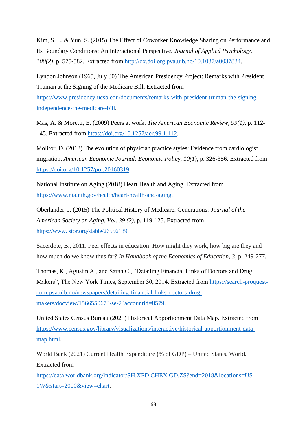Kim, S. L. & Yun, S. (2015) The Effect of Coworker Knowledge Sharing on Performance and Its Boundary Conditions: An Interactional Perspective. *Journal of Applied Psychology*, *100(2)*, p. 575-582. Extracted from [http://dx.doi.org.pva.uib.no/10.1037/a0037834.](http://dx.doi.org.pva.uib.no/10.1037/a0037834)

Lyndon Johnson (1965, July 30) The American Presidency Project: Remarks with President Truman at the Signing of the Medicare Bill. Extracted from

[https://www.presidency.ucsb.edu/documents/remarks-with-president-truman-the-signing](https://www.presidency.ucsb.edu/documents/remarks-with-president-truman-the-signing-independence-the-medicare-bill)[independence-the-medicare-bill.](https://www.presidency.ucsb.edu/documents/remarks-with-president-truman-the-signing-independence-the-medicare-bill)

Mas, A. & Moretti, E. (2009) Peers at work. *The American Economic Review, 99(1)*, p. 112- 145. Extracted from [https://doi.org/10.1257/aer.99.1.112.](https://doi.org/10.1257/aer.99.1.112)

Molitor, D. (2018) The evolution of physician practice styles: Evidence from cardiologist migration. *American Economic Journal: Economic Policy, 10(1)*, p. 326-356. Extracted from [https://doi.org/10.1257/pol.20160319.](https://doi.org/10.1257/pol.20160319)

National Institute on Aging (2018) Heart Health and Aging. Extracted from [https://www.nia.nih.gov/health/heart-health-and-aging.](https://www.nia.nih.gov/health/heart-health-and-aging)

Oberlander, J. (2015) The Political History of Medicare. Generations: *Journal of the American Society on Aging*, *Vol. 39 (2)*, p. 119-125. Extracted from [https://www.jstor.org/stable/26556139.](https://www.jstor.org/stable/26556139)

Sacerdote, B., 2011. Peer effects in education: How might they work, how big are they and how much do we know thus far? *In Handbook of the Economics of Education*, *3*, p. 249-277.

Thomas, K., Agustin A., and Sarah C., "Detailing Financial Links of Doctors and Drug Makers", The New York Times, September 30, 2014. Extracted from [https://search-proquest](https://search-proquest-com.pva.uib.no/newspapers/detailing-financial-links-doctors-drug-makers/docview/1566550673/se-2?accountid=8579)[com.pva.uib.no/newspapers/detailing-financial-links-doctors-drug](https://search-proquest-com.pva.uib.no/newspapers/detailing-financial-links-doctors-drug-makers/docview/1566550673/se-2?accountid=8579)[makers/docview/1566550673/se-2?accountid=8579.](https://search-proquest-com.pva.uib.no/newspapers/detailing-financial-links-doctors-drug-makers/docview/1566550673/se-2?accountid=8579)

United States Census Bureau (2021) Historical Apportionment Data Map. Extracted from [https://www.census.gov/library/visualizations/interactive/historical-apportionment-data](https://www.census.gov/library/visualizations/interactive/historical-apportionment-data-map.html)[map.html.](https://www.census.gov/library/visualizations/interactive/historical-apportionment-data-map.html)

World Bank (2021) Current Health Expenditure (% of GDP) – United States, World. Extracted from

[https://data.worldbank.org/indicator/SH.XPD.CHEX.GD.ZS?end=2018&locations=US-](https://data.worldbank.org/indicator/SH.XPD.CHEX.GD.ZS?end=2018&locations=US-1W&start=2000&view=chart)[1W&start=2000&view=chart.](https://data.worldbank.org/indicator/SH.XPD.CHEX.GD.ZS?end=2018&locations=US-1W&start=2000&view=chart)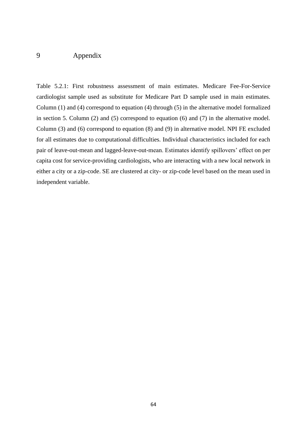# 9 Appendix

Table 5.2.1: First robustness assessment of main estimates. Medicare Fee-For-Service cardiologist sample used as substitute for Medicare Part D sample used in main estimates. Column (1) and (4) correspond to equation (4) through (5) in the alternative model formalized in section 5. Column (2) and (5) correspond to equation (6) and (7) in the alternative model. Column (3) and (6) correspond to equation (8) and (9) in alternative model. NPI FE excluded for all estimates due to computational difficulties. Individual characteristics included for each pair of leave-out-mean and lagged-leave-out-mean. Estimates identify spillovers' effect on per capita cost for service-providing cardiologists, who are interacting with a new local network in either a city or a zip-code. SE are clustered at city- or zip-code level based on the mean used in independent variable.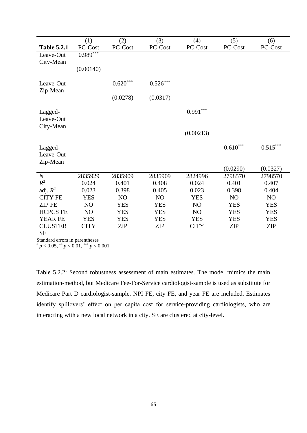|                    | (1)            | (2)                    | (3)             | (4)            | (5)           | (6)                    |
|--------------------|----------------|------------------------|-----------------|----------------|---------------|------------------------|
| <b>Table 5.2.1</b> | PC-Cost        | PC-Cost                | PC-Cost         | PC-Cost        | PC-Cost       | PC-Cost                |
| Leave-Out          | $0.989***$     |                        |                 |                |               |                        |
| City-Mean          |                |                        |                 |                |               |                        |
|                    | (0.00140)      |                        |                 |                |               |                        |
|                    |                |                        |                 |                |               |                        |
| Leave-Out          |                | $0.620^{\ast\ast\ast}$ | $0.526\sp{***}$ |                |               |                        |
| Zip-Mean           |                |                        |                 |                |               |                        |
|                    |                | (0.0278)               | (0.0317)        |                |               |                        |
| Lagged-            |                |                        |                 | $0.991***$     |               |                        |
| Leave-Out          |                |                        |                 |                |               |                        |
| City-Mean          |                |                        |                 |                |               |                        |
|                    |                |                        |                 | (0.00213)      |               |                        |
|                    |                |                        |                 |                |               |                        |
| Lagged-            |                |                        |                 |                | $0.610^{***}$ | $0.515^{\ast\ast\ast}$ |
| Leave-Out          |                |                        |                 |                |               |                        |
| Zip-Mean           |                |                        |                 |                |               |                        |
|                    |                |                        |                 |                | (0.0290)      | (0.0327)               |
| $\boldsymbol{N}$   | 2835929        | 2835909                | 2835909         | 2824996        | 2798570       | 2798570                |
| $R^2$              | 0.024          | 0.401                  | 0.408           | 0.024          | 0.401         | 0.407                  |
| adj. $R^2$         | 0.023          | 0.398                  | 0.405           | 0.023          | 0.398         | 0.404                  |
| <b>CITY FE</b>     | <b>YES</b>     | N <sub>O</sub>         | N <sub>O</sub>  | <b>YES</b>     | NO            | N <sub>O</sub>         |
| <b>ZIP FE</b>      | NO             | <b>YES</b>             | <b>YES</b>      | N <sub>O</sub> | <b>YES</b>    | <b>YES</b>             |
| <b>HCPCS FE</b>    | N <sub>O</sub> | <b>YES</b>             | <b>YES</b>      | N <sub>O</sub> | <b>YES</b>    | <b>YES</b>             |
| <b>YEAR FE</b>     | <b>YES</b>     | <b>YES</b>             | <b>YES</b>      | <b>YES</b>     | <b>YES</b>    | <b>YES</b>             |
| <b>CLUSTER</b>     | <b>CITY</b>    | <b>ZIP</b>             | <b>ZIP</b>      | <b>CITY</b>    | <b>ZIP</b>    | <b>ZIP</b>             |
| <b>SE</b>          |                |                        |                 |                |               |                        |

Standard errors in parentheses

 $p < 0.05$ ,  $\binom{p}{p} < 0.01$ ,  $\binom{p}{p} < 0.001$ 

Table 5.2.2: Second robustness assessment of main estimates. The model mimics the main estimation-method, but Medicare Fee-For-Service cardiologist-sample is used as substitute for Medicare Part D cardiologist-sample. NPI FE, city FE, and year FE are included. Estimates identify spillovers' effect on per capita cost for service-providing cardiologists, who are interacting with a new local network in a city. SE are clustered at city-level.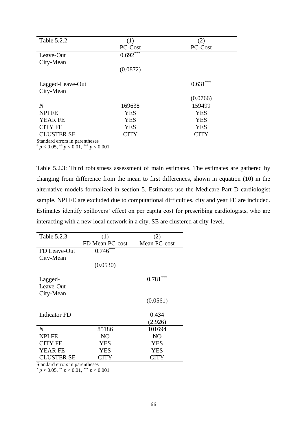| Table 5.2.2       | (1)        | (2)          |
|-------------------|------------|--------------|
|                   | PC-Cost    | PC-Cost      |
| Leave-Out         | $0.692***$ |              |
| City-Mean         |            |              |
|                   | (0.0872)   |              |
| Lagged-Leave-Out  |            | ***<br>0.631 |
| City-Mean         |            |              |
|                   |            | (0.0766)     |
| $\overline{N}$    | 169638     | 159499       |
| <b>NPI FE</b>     | <b>YES</b> | <b>YES</b>   |
| <b>YEAR FE</b>    | <b>YES</b> | <b>YES</b>   |
| <b>CITY FE</b>    | <b>YES</b> | <b>YES</b>   |
| <b>CLUSTER SE</b> | CITY       | CITY         |

Standard errors in parentheses

\* *p* < 0.05, \*\* *p* < 0.01, \*\*\* *p* < 0.001

Table 5.2.3: Third robustness assessment of main estimates. The estimates are gathered by changing from difference from the mean to first differences, shown in equation (10) in the alternative models formalized in section 5. Estimates use the Medicare Part D cardiologist sample. NPI FE are excluded due to computational difficulties, city and year FE are included. Estimates identify spillovers' effect on per capita cost for prescribing cardiologists, who are interacting with a new local network in a city. SE are clustered at city-level.

| Table 5.2.3       | (1)             | (2)            |
|-------------------|-----------------|----------------|
|                   | FD Mean PC-cost | Mean PC-cost   |
| FD Leave-Out      | $0.746***$      |                |
| City-Mean         |                 |                |
|                   | (0.0530)        |                |
| Lagged-           |                 | $0.781***$     |
| Leave-Out         |                 |                |
| City-Mean         |                 |                |
|                   |                 | (0.0561)       |
|                   |                 |                |
| Indicator FD      |                 | 0.434          |
|                   |                 | (2.926)        |
| $\overline{N}$    | 85186           | 101694         |
| <b>NPI FE</b>     | N <sub>O</sub>  | N <sub>O</sub> |
| <b>CITY FE</b>    | <b>YES</b>      | <b>YES</b>     |
| <b>YEAR FE</b>    | YES             | <b>YES</b>     |
| <b>CLUSTER SE</b> | <b>CITY</b>     | CITY           |
|                   | $\bullet$       |                |

Standard errors in parentheses

 $p < 0.05$ ,  $\binom{**}{p} < 0.01$ ,  $\binom{***}{p} < 0.001$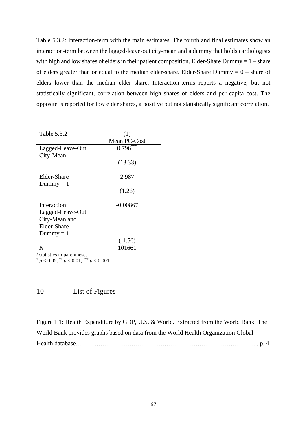Table 5.3.2: Interaction-term with the main estimates. The fourth and final estimates show an interaction-term between the lagged-leave-out city-mean and a dummy that holds cardiologists with high and low shares of elders in their patient composition. Elder-Share Dummy  $= 1 -$ share of elders greater than or equal to the median elder-share. Elder-Share Dummy  $= 0$  – share of elders lower than the median elder share. Interaction-terms reports a negative, but not statistically significant, correlation between high shares of elders and per capita cost. The opposite is reported for low elder shares, a positive but not statistically significant correlation.

| Table 5.3.2                        | (1)          |
|------------------------------------|--------------|
|                                    | Mean PC-Cost |
| Lagged-Leave-Out                   | $0.796***$   |
| City-Mean                          |              |
|                                    | (13.33)      |
|                                    |              |
| Elder-Share                        | 2.987        |
| Dummy $= 1$                        |              |
|                                    | (1.26)       |
|                                    |              |
| Interaction:                       | $-0.00867$   |
| Lagged-Leave-Out                   |              |
| City-Mean and                      |              |
| Elder-Share                        |              |
| Dummy $= 1$                        |              |
|                                    | $(-1.56)$    |
| N                                  | 101661       |
| <i>t</i> statistics in parentheses |              |

 $p < 0.05$ , \*\*  $p < 0.01$ , \*\*\*  $p < 0.001$ 

# 10 List of Figures

Figure 1.1: Health Expenditure by GDP, U.S. & World. Extracted from the World Bank. The World Bank provides graphs based on data from the World Health Organization Global Health database…………………………………………………………………………….. p. 4